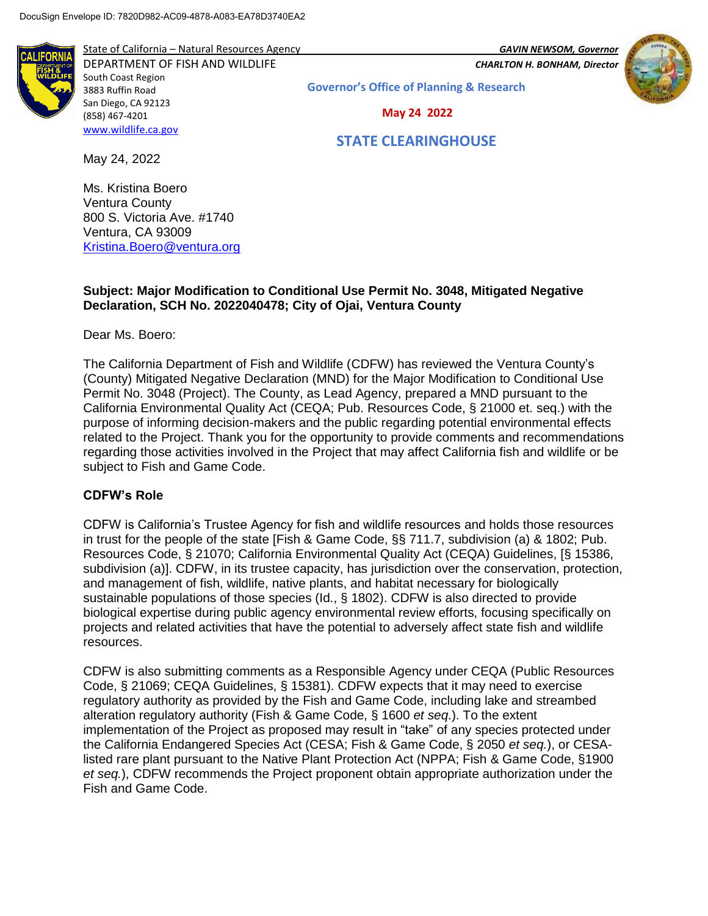

State of California – Natural Resources Agency *GAVIN NEWSOM, Governor* DEPARTMENT OF FISH AND WILDLIFE *CHARLTON H. BONHAM, Director*  South Coast Region 3883 Ruffin Road San Diego, CA 92123 (858) 467-4201 [www.wildlife.ca.gov](http://www.wildlife.ca.gov/)

**Governor's Office of Planning & Research**

 **May 24 2022**

# **STATE CLEARINGHOUSE**

May 24, 2022

**LIFORI** 

Ms. Kristina Boero Ventura County 800 S. Victoria Ave. #1740 Ventura, CA 93009 [Kristina.Boero@ventura.org](mailto:Kristina.Boero@ventura.org)

### **Subject: Major Modification to Conditional Use Permit No. 3048, Mitigated Negative Declaration, SCH No. 2022040478; City of Ojai, Ventura County**

Dear Ms. Boero:

The California Department of Fish and Wildlife (CDFW) has reviewed the Ventura County's (County) Mitigated Negative Declaration (MND) for the Major Modification to Conditional Use Permit No. 3048 (Project). The County, as Lead Agency, prepared a MND pursuant to the California Environmental Quality Act (CEQA; Pub. Resources Code, § 21000 et. seq.) with the purpose of informing decision-makers and the public regarding potential environmental effects related to the Project. Thank you for the opportunity to provide comments and recommendations regarding those activities involved in the Project that may affect California fish and wildlife or be subject to Fish and Game Code.

### **CDFW's Role**

CDFW is California's Trustee Agency for fish and wildlife resources and holds those resources in trust for the people of the state [Fish & Game Code, §§ 711.7, subdivision (a) & 1802; Pub. Resources Code, § 21070; California Environmental Quality Act (CEQA) Guidelines, [§ 15386, subdivision (a)]. CDFW, in its trustee capacity, has jurisdiction over the conservation, protection, and management of fish, wildlife, native plants, and habitat necessary for biologically sustainable populations of those species (Id., § 1802). CDFW is also directed to provide biological expertise during public agency environmental review efforts, focusing specifically on projects and related activities that have the potential to adversely affect state fish and wildlife resources.

CDFW is also submitting comments as a Responsible Agency under CEQA (Public Resources Code, § 21069; CEQA Guidelines, § 15381). CDFW expects that it may need to exercise regulatory authority as provided by the Fish and Game Code, including lake and streambed alteration regulatory authority (Fish & Game Code, § 1600 *et seq*.). To the extent implementation of the Project as proposed may result in "take" of any species protected under the California Endangered Species Act (CESA; Fish & Game Code, § 2050 *et seq.*), or CESAlisted rare plant pursuant to the Native Plant Protection Act (NPPA; Fish & Game Code, §1900 *et seq.*), CDFW recommends the Project proponent obtain appropriate authorization under the Fish and Game Code.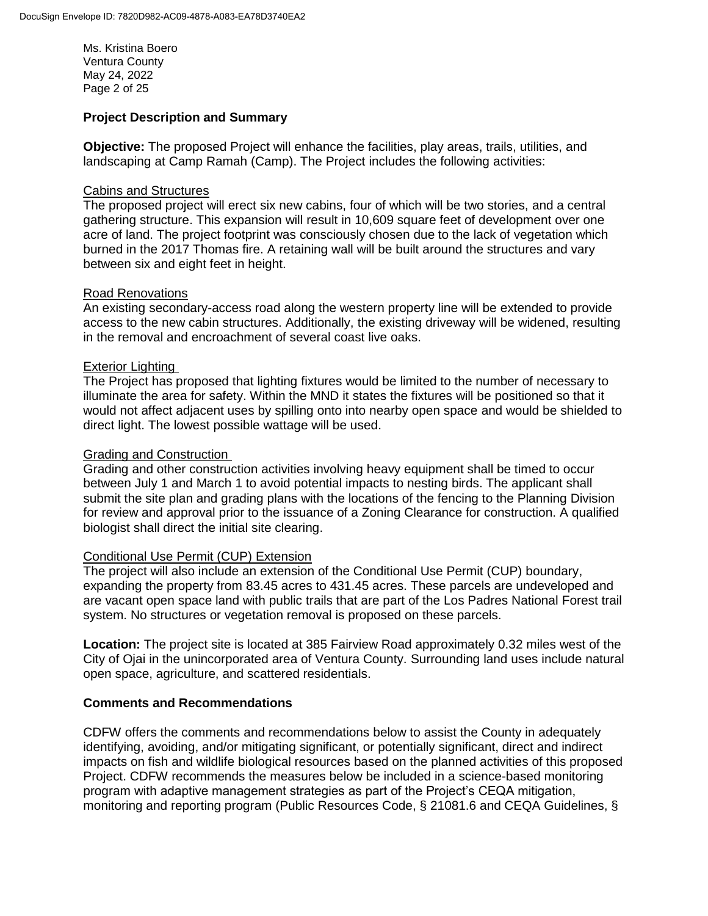Ms. Kristina Boero Ventura County May 24, 2022 Page 2 of 25

### **Project Description and Summary**

**Objective:** The proposed Project will enhance the facilities, play areas, trails, utilities, and landscaping at Camp Ramah (Camp). The Project includes the following activities:

### Cabins and Structures

The proposed project will erect six new cabins, four of which will be two stories, and a central gathering structure. This expansion will result in 10,609 square feet of development over one acre of land. The project footprint was consciously chosen due to the lack of vegetation which burned in the 2017 Thomas fire. A retaining wall will be built around the structures and vary between six and eight feet in height.

#### Road Renovations

An existing secondary-access road along the western property line will be extended to provide access to the new cabin structures. Additionally, the existing driveway will be widened, resulting in the removal and encroachment of several coast live oaks.

#### Exterior Lighting

The Project has proposed that lighting fixtures would be limited to the number of necessary to illuminate the area for safety. Within the MND it states the fixtures will be positioned so that it would not affect adjacent uses by spilling onto into nearby open space and would be shielded to direct light. The lowest possible wattage will be used.

#### Grading and Construction

Grading and other construction activities involving heavy equipment shall be timed to occur between July 1 and March 1 to avoid potential impacts to nesting birds. The applicant shall submit the site plan and grading plans with the locations of the fencing to the Planning Division for review and approval prior to the issuance of a Zoning Clearance for construction. A qualified biologist shall direct the initial site clearing.

### Conditional Use Permit (CUP) Extension

The project will also include an extension of the Conditional Use Permit (CUP) boundary, expanding the property from 83.45 acres to 431.45 acres. These parcels are undeveloped and are vacant open space land with public trails that are part of the Los Padres National Forest trail system. No structures or vegetation removal is proposed on these parcels.

**Location:** The project site is located at 385 Fairview Road approximately 0.32 miles west of the City of Ojai in the unincorporated area of Ventura County. Surrounding land uses include natural open space, agriculture, and scattered residentials.

### **Comments and Recommendations**

CDFW offers the comments and recommendations below to assist the County in adequately identifying, avoiding, and/or mitigating significant, or potentially significant, direct and indirect impacts on fish and wildlife biological resources based on the planned activities of this proposed Project. CDFW recommends the measures below be included in a science-based monitoring program with adaptive management strategies as part of the Project's CEQA mitigation, monitoring and reporting program (Public Resources Code, § 21081.6 and CEQA Guidelines, §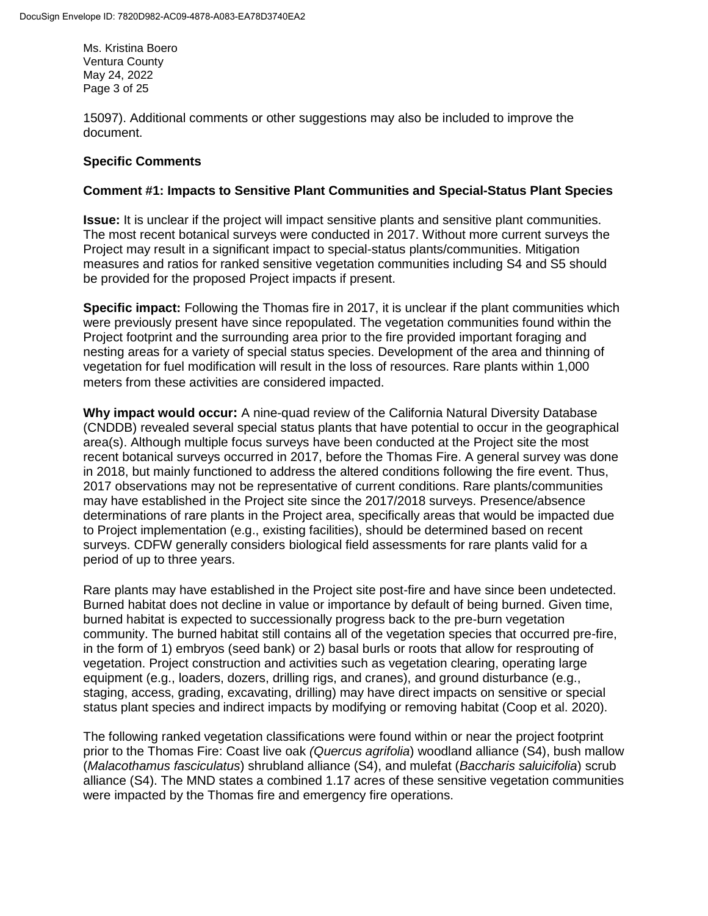Ms. Kristina Boero Ventura County May 24, 2022 Page 3 of 25

15097). Additional comments or other suggestions may also be included to improve the document.

### **Specific Comments**

### **Comment #1: Impacts to Sensitive Plant Communities and Special-Status Plant Species**

**Issue:** It is unclear if the project will impact sensitive plants and sensitive plant communities. The most recent botanical surveys were conducted in 2017. Without more current surveys the Project may result in a significant impact to special-status plants/communities. Mitigation measures and ratios for ranked sensitive vegetation communities including S4 and S5 should be provided for the proposed Project impacts if present.

**Specific impact:** Following the Thomas fire in 2017, it is unclear if the plant communities which were previously present have since repopulated. The vegetation communities found within the Project footprint and the surrounding area prior to the fire provided important foraging and nesting areas for a variety of special status species. Development of the area and thinning of vegetation for fuel modification will result in the loss of resources. Rare plants within 1,000 meters from these activities are considered impacted.

**Why impact would occur:** A nine-quad review of the California Natural Diversity Database (CNDDB) revealed several special status plants that have potential to occur in the geographical area(s). Although multiple focus surveys have been conducted at the Project site the most recent botanical surveys occurred in 2017, before the Thomas Fire. A general survey was done in 2018, but mainly functioned to address the altered conditions following the fire event. Thus, 2017 observations may not be representative of current conditions. Rare plants/communities may have established in the Project site since the 2017/2018 surveys. Presence/absence determinations of rare plants in the Project area, specifically areas that would be impacted due to Project implementation (e.g., existing facilities), should be determined based on recent surveys. CDFW generally considers biological field assessments for rare plants valid for a period of up to three years.

Rare plants may have established in the Project site post-fire and have since been undetected. Burned habitat does not decline in value or importance by default of being burned. Given time, burned habitat is expected to successionally progress back to the pre-burn vegetation community. The burned habitat still contains all of the vegetation species that occurred pre-fire, in the form of 1) embryos (seed bank) or 2) basal burls or roots that allow for resprouting of vegetation. Project construction and activities such as vegetation clearing, operating large equipment (e.g., loaders, dozers, drilling rigs, and cranes), and ground disturbance (e.g., staging, access, grading, excavating, drilling) may have direct impacts on sensitive or special status plant species and indirect impacts by modifying or removing habitat (Coop et al. 2020).

The following ranked vegetation classifications were found within or near the project footprint prior to the Thomas Fire: Coast live oak *(Quercus agrifolia*) woodland alliance (S4), bush mallow (*Malacothamus fasciculatus*) shrubland alliance (S4), and mulefat (*Baccharis saluicifolia*) scrub alliance (S4). The MND states a combined 1.17 acres of these sensitive vegetation communities were impacted by the Thomas fire and emergency fire operations.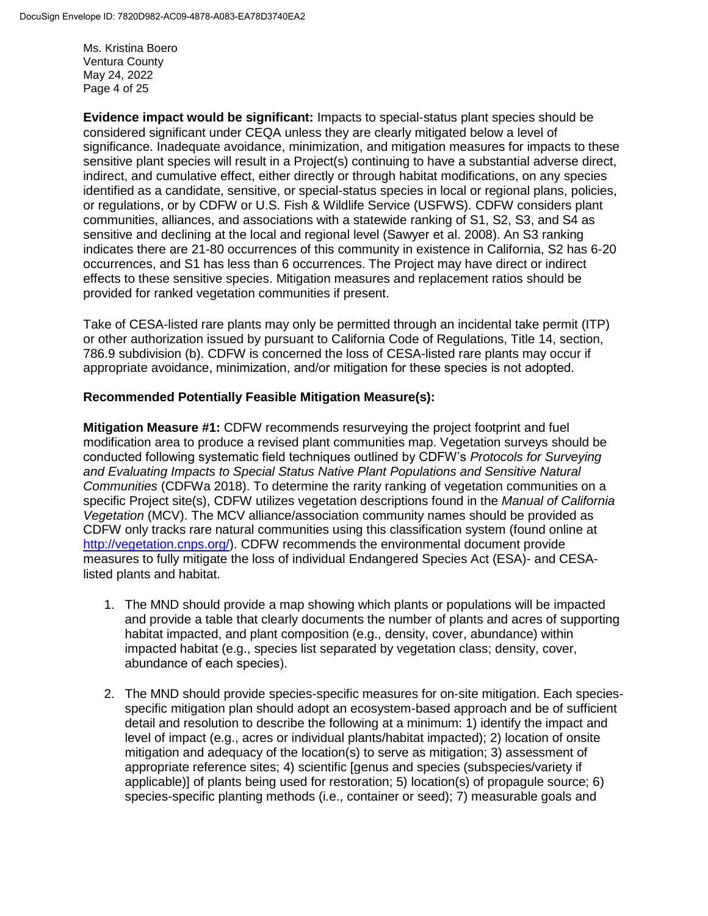Ms. Kristina Boero Ventura County May 24, 2022 Page 4 of 25

**Evidence impact would be significant:** Impacts to special-status plant species should be considered significant under CEQA unless they are clearly mitigated below a level of significance. Inadequate avoidance, minimization, and mitigation measures for impacts to these sensitive plant species will result in a Project(s) continuing to have a substantial adverse direct, indirect, and cumulative effect, either directly or through habitat modifications, on any species identified as a candidate, sensitive, or special-status species in local or regional plans, policies, or regulations, or by CDFW or U.S. Fish & Wildlife Service (USFWS). CDFW considers plant communities, alliances, and associations with a statewide ranking of S1, S2, S3, and S4 as sensitive and declining at the local and regional level (Sawyer et al. 2008). An S3 ranking indicates there are 21-80 occurrences of this community in existence in California, S2 has 6-20 occurrences, and S1 has less than 6 occurrences. The Project may have direct or indirect effects to these sensitive species. Mitigation measures and replacement ratios should be provided for ranked vegetation communities if present.

Take of CESA-listed rare plants may only be permitted through an incidental take permit (ITP) or other authorization issued by pursuant to California Code of Regulations, Title 14, section, 786.9 subdivision (b). CDFW is concerned the loss of CESA-listed rare plants may occur if appropriate avoidance, minimization, and/or mitigation for these species is not adopted. 

#### **Recommended Potentially Feasible Mitigation Measure(s):**

**Mitigation Measure #1:** CDFW recommends resurveying the project footprint and fuel modification area to produce a revised plant communities map. Vegetation surveys should be conducted following systematic field techniques outlined by CDFW's *Protocols for Surveying and Evaluating Impacts to Special Status Native Plant Populations and Sensitive Natural Communities* (CDFWa 2018). To determine the rarity ranking of vegetation communities on a specific Project site(s), CDFW utilizes vegetation descriptions found in the *Manual of California Vegetation* (MCV). The MCV alliance/association community names should be provided as CDFW only tracks rare natural communities using this classification system (found online at [http://vegetation.cnps.org/\)](http://vegetation.cnps.org/). CDFW recommends the environmental document provide measures to fully mitigate the loss of individual Endangered Species Act (ESA)- and CESAlisted plants and habitat.

- 1. The MND should provide a map showing which plants or populations will be impacted and provide a table that clearly documents the number of plants and acres of supporting habitat impacted, and plant composition (e.g., density, cover, abundance) within impacted habitat (e.g., species list separated by vegetation class; density, cover, abundance of each species).
- 2. The MND should provide species-specific measures for on-site mitigation. Each speciesspecific mitigation plan should adopt an ecosystem-based approach and be of sufficient detail and resolution to describe the following at a minimum: 1) identify the impact and level of impact (e.g., acres or individual plants/habitat impacted); 2) location of onsite mitigation and adequacy of the location(s) to serve as mitigation; 3) assessment of appropriate reference sites; 4) scientific [genus and species (subspecies/variety if applicable)] of plants being used for restoration; 5) location(s) of propagule source; 6) species-specific planting methods (i.e., container or seed); 7) measurable goals and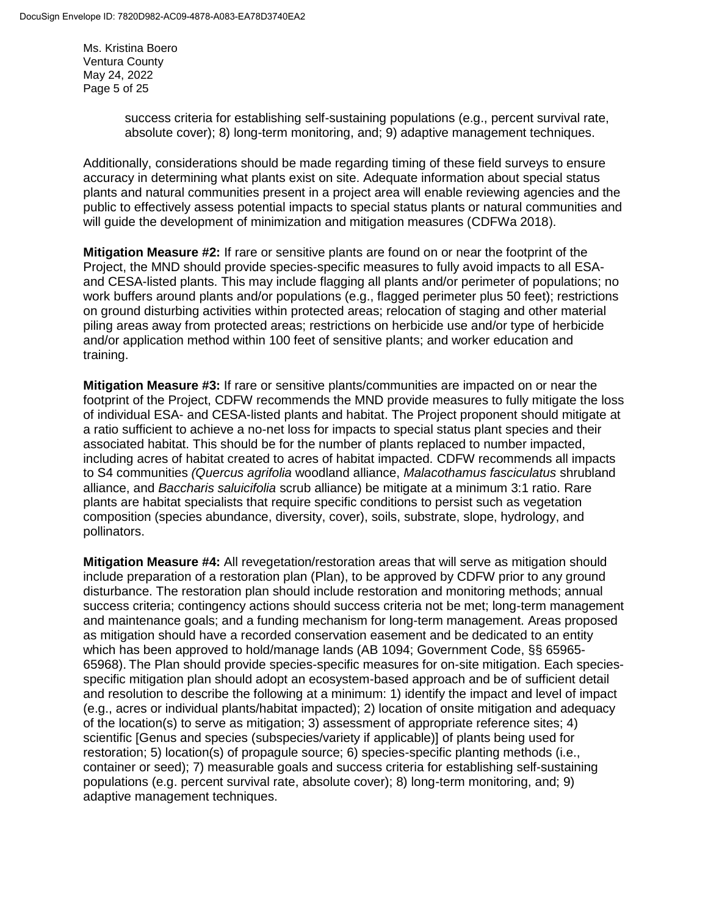Ms. Kristina Boero Ventura County May 24, 2022 Page 5 of 25

> success criteria for establishing self-sustaining populations (e.g., percent survival rate, absolute cover); 8) long-term monitoring, and; 9) adaptive management techniques.

Additionally, considerations should be made regarding timing of these field surveys to ensure accuracy in determining what plants exist on site. Adequate information about special status plants and natural communities present in a project area will enable reviewing agencies and the public to effectively assess potential impacts to special status plants or natural communities and will guide the development of minimization and mitigation measures (CDFWa 2018). 

**Mitigation Measure #2:** If rare or sensitive plants are found on or near the footprint of the Project, the MND should provide species-specific measures to fully avoid impacts to all ESAand CESA-listed plants. This may include flagging all plants and/or perimeter of populations; no work buffers around plants and/or populations (e.g., flagged perimeter plus 50 feet); restrictions on ground disturbing activities within protected areas; relocation of staging and other material piling areas away from protected areas; restrictions on herbicide use and/or type of herbicide and/or application method within 100 feet of sensitive plants; and worker education and training.

**Mitigation Measure #3:** If rare or sensitive plants/communities are impacted on or near the footprint of the Project, CDFW recommends the MND provide measures to fully mitigate the loss of individual ESA- and CESA-listed plants and habitat. The Project proponent should mitigate at a ratio sufficient to achieve a no-net loss for impacts to special status plant species and their associated habitat. This should be for the number of plants replaced to number impacted, including acres of habitat created to acres of habitat impacted. CDFW recommends all impacts to S4 communities *(Quercus agrifolia* woodland alliance, *Malacothamus fasciculatus* shrubland alliance, and *Baccharis saluicifolia* scrub alliance) be mitigate at a minimum 3:1 ratio. Rare plants are habitat specialists that require specific conditions to persist such as vegetation composition (species abundance, diversity, cover), soils, substrate, slope, hydrology, and pollinators.

**Mitigation Measure #4:** All revegetation/restoration areas that will serve as mitigation should include preparation of a restoration plan (Plan), to be approved by CDFW prior to any ground disturbance. The restoration plan should include restoration and monitoring methods; annual success criteria; contingency actions should success criteria not be met; long-term management and maintenance goals; and a funding mechanism for long-term management. Areas proposed as mitigation should have a recorded conservation easement and be dedicated to an entity which has been approved to hold/manage lands (AB 1094; Government Code, §§ 65965- 65968). The Plan should provide species-specific measures for on-site mitigation. Each speciesspecific mitigation plan should adopt an ecosystem-based approach and be of sufficient detail and resolution to describe the following at a minimum: 1) identify the impact and level of impact (e.g., acres or individual plants/habitat impacted); 2) location of onsite mitigation and adequacy of the location(s) to serve as mitigation; 3) assessment of appropriate reference sites; 4) scientific [Genus and species (subspecies/variety if applicable)] of plants being used for restoration; 5) location(s) of propagule source; 6) species-specific planting methods (i.e., container or seed); 7) measurable goals and success criteria for establishing self-sustaining populations (e.g. percent survival rate, absolute cover); 8) long-term monitoring, and; 9) adaptive management techniques.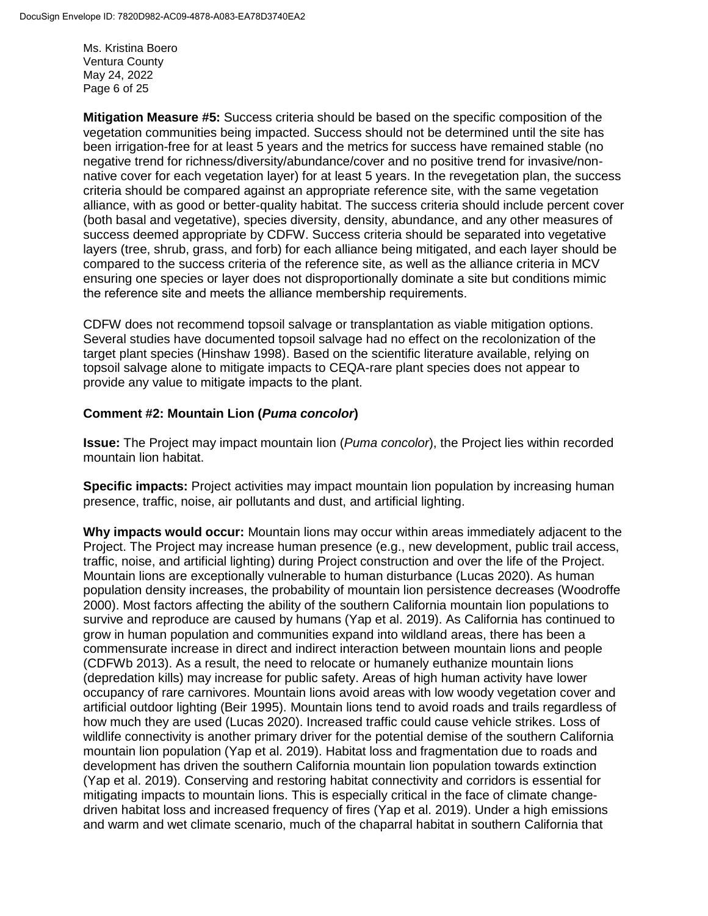Ms. Kristina Boero Ventura County May 24, 2022 Page 6 of 25

**Mitigation Measure #5:** Success criteria should be based on the specific composition of the vegetation communities being impacted. Success should not be determined until the site has been irrigation-free for at least 5 years and the metrics for success have remained stable (no negative trend for richness/diversity/abundance/cover and no positive trend for invasive/nonnative cover for each vegetation layer) for at least 5 years. In the revegetation plan, the success criteria should be compared against an appropriate reference site, with the same vegetation alliance, with as good or better-quality habitat. The success criteria should include percent cover (both basal and vegetative), species diversity, density, abundance, and any other measures of success deemed appropriate by CDFW. Success criteria should be separated into vegetative layers (tree, shrub, grass, and forb) for each alliance being mitigated, and each layer should be compared to the success criteria of the reference site, as well as the alliance criteria in MCV ensuring one species or layer does not disproportionally dominate a site but conditions mimic the reference site and meets the alliance membership requirements.  

CDFW does not recommend topsoil salvage or transplantation as viable mitigation options. Several studies have documented topsoil salvage had no effect on the recolonization of the target plant species (Hinshaw 1998). Based on the scientific literature available, relying on topsoil salvage alone to mitigate impacts to CEQA-rare plant species does not appear to provide any value to mitigate impacts to the plant. 

### **Comment #2: Mountain Lion (***Puma concolor***)**

**Issue:** The Project may impact mountain lion (*Puma concolor*), the Project lies within recorded mountain lion habitat.

**Specific impacts:** Project activities may impact mountain lion population by increasing human presence, traffic, noise, air pollutants and dust, and artificial lighting.

**Why impacts would occur:** Mountain lions may occur within areas immediately adjacent to the Project. The Project may increase human presence (e.g., new development, public trail access, traffic, noise, and artificial lighting) during Project construction and over the life of the Project. Mountain lions are exceptionally vulnerable to human disturbance (Lucas 2020). As human population density increases, the probability of mountain lion persistence decreases (Woodroffe 2000). Most factors affecting the ability of the southern California mountain lion populations to survive and reproduce are caused by humans (Yap et al. 2019). As California has continued to grow in human population and communities expand into wildland areas, there has been a commensurate increase in direct and indirect interaction between mountain lions and people (CDFWb 2013). As a result, the need to relocate or humanely euthanize mountain lions (depredation kills) may increase for public safety. Areas of high human activity have lower occupancy of rare carnivores. Mountain lions avoid areas with low woody vegetation cover and artificial outdoor lighting (Beir 1995). Mountain lions tend to avoid roads and trails regardless of how much they are used (Lucas 2020). Increased traffic could cause vehicle strikes. Loss of wildlife connectivity is another primary driver for the potential demise of the southern California mountain lion population (Yap et al. 2019). Habitat loss and fragmentation due to roads and development has driven the southern California mountain lion population towards extinction (Yap et al. 2019). Conserving and restoring habitat connectivity and corridors is essential for mitigating impacts to mountain lions. This is especially critical in the face of climate changedriven habitat loss and increased frequency of fires (Yap et al. 2019). Under a high emissions and warm and wet climate scenario, much of the chaparral habitat in southern California that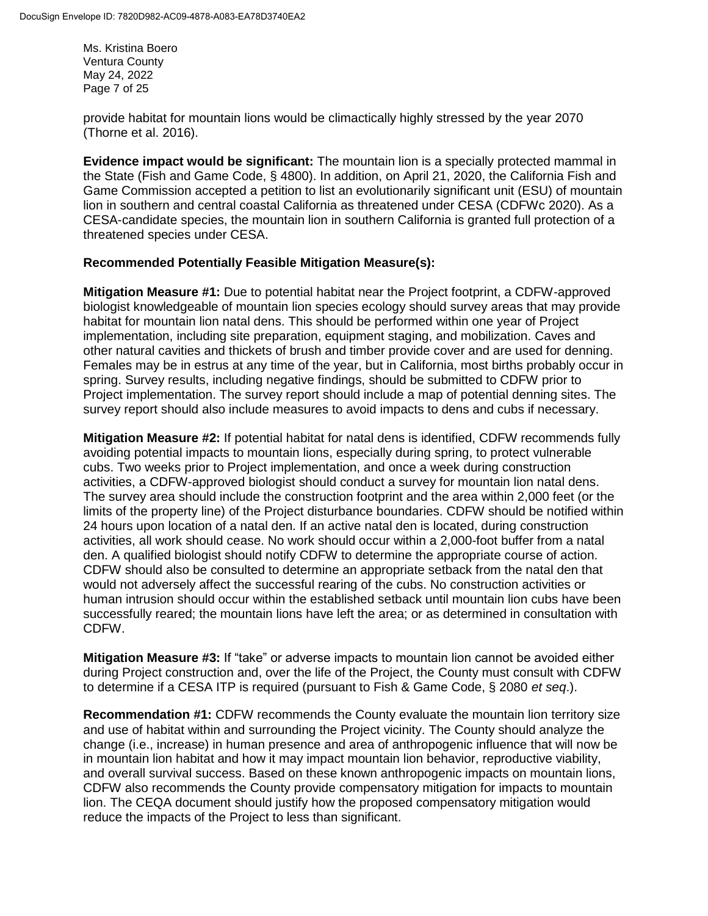Ms. Kristina Boero Ventura County May 24, 2022 Page 7 of 25

provide habitat for mountain lions would be climactically highly stressed by the year 2070 (Thorne et al. 2016).

**Evidence impact would be significant:** The mountain lion is a specially protected mammal in the State (Fish and Game Code, § 4800). In addition, on April 21, 2020, the California Fish and Game Commission accepted a petition to list an evolutionarily significant unit (ESU) of mountain lion in southern and central coastal California as threatened under CESA (CDFWc 2020). As a CESA-candidate species, the mountain lion in southern California is granted full protection of a threatened species under CESA.

### **Recommended Potentially Feasible Mitigation Measure(s):**

**Mitigation Measure #1:** Due to potential habitat near the Project footprint, a CDFW-approved biologist knowledgeable of mountain lion species ecology should survey areas that may provide habitat for mountain lion natal dens. This should be performed within one year of Project implementation, including site preparation, equipment staging, and mobilization. Caves and other natural cavities and thickets of brush and timber provide cover and are used for denning. Females may be in estrus at any time of the year, but in California, most births probably occur in spring. Survey results, including negative findings, should be submitted to CDFW prior to Project implementation. The survey report should include a map of potential denning sites. The survey report should also include measures to avoid impacts to dens and cubs if necessary.

**Mitigation Measure #2:** If potential habitat for natal dens is identified, CDFW recommends fully avoiding potential impacts to mountain lions, especially during spring, to protect vulnerable cubs. Two weeks prior to Project implementation, and once a week during construction activities, a CDFW-approved biologist should conduct a survey for mountain lion natal dens. The survey area should include the construction footprint and the area within 2,000 feet (or the limits of the property line) of the Project disturbance boundaries. CDFW should be notified within 24 hours upon location of a natal den. If an active natal den is located, during construction activities, all work should cease. No work should occur within a 2,000-foot buffer from a natal den. A qualified biologist should notify CDFW to determine the appropriate course of action. CDFW should also be consulted to determine an appropriate setback from the natal den that would not adversely affect the successful rearing of the cubs. No construction activities or human intrusion should occur within the established setback until mountain lion cubs have been successfully reared; the mountain lions have left the area; or as determined in consultation with CDFW.

**Mitigation Measure #3:** If "take" or adverse impacts to mountain lion cannot be avoided either during Project construction and, over the life of the Project, the County must consult with CDFW to determine if a CESA ITP is required (pursuant to Fish & Game Code, § 2080 *et seq*.).

**Recommendation #1:** CDFW recommends the County evaluate the mountain lion territory size and use of habitat within and surrounding the Project vicinity. The County should analyze the change (i.e., increase) in human presence and area of anthropogenic influence that will now be in mountain lion habitat and how it may impact mountain lion behavior, reproductive viability, and overall survival success. Based on these known anthropogenic impacts on mountain lions, CDFW also recommends the County provide compensatory mitigation for impacts to mountain lion. The CEQA document should justify how the proposed compensatory mitigation would reduce the impacts of the Project to less than significant.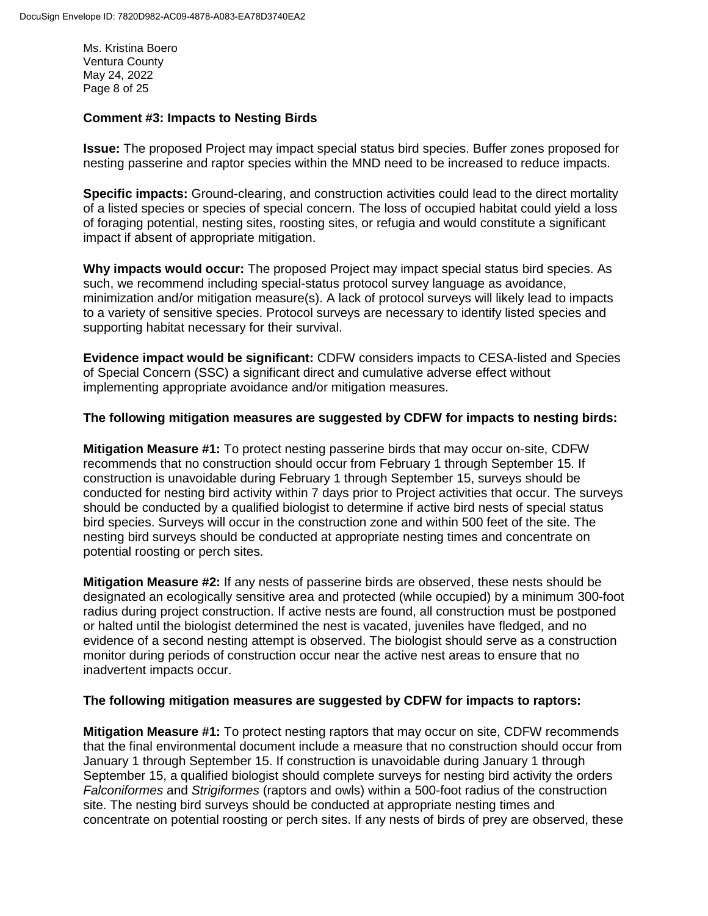Ms. Kristina Boero Ventura County May 24, 2022 Page 8 of 25

### **Comment #3: Impacts to Nesting Birds**

**Issue:** The proposed Project may impact special status bird species. Buffer zones proposed for nesting passerine and raptor species within the MND need to be increased to reduce impacts.

**Specific impacts:** Ground-clearing, and construction activities could lead to the direct mortality of a listed species or species of special concern. The loss of occupied habitat could yield a loss of foraging potential, nesting sites, roosting sites, or refugia and would constitute a significant impact if absent of appropriate mitigation.

**Why impacts would occur:** The proposed Project may impact special status bird species. As such, we recommend including special-status protocol survey language as avoidance, minimization and/or mitigation measure(s). A lack of protocol surveys will likely lead to impacts to a variety of sensitive species. Protocol surveys are necessary to identify listed species and supporting habitat necessary for their survival.

**Evidence impact would be significant:** CDFW considers impacts to CESA-listed and Species of Special Concern (SSC) a significant direct and cumulative adverse effect without implementing appropriate avoidance and/or mitigation measures.

### **The following mitigation measures are suggested by CDFW for impacts to nesting birds:**

**Mitigation Measure #1:** To protect nesting passerine birds that may occur on-site, CDFW recommends that no construction should occur from February 1 through September 15. If construction is unavoidable during February 1 through September 15, surveys should be conducted for nesting bird activity within 7 days prior to Project activities that occur. The surveys should be conducted by a qualified biologist to determine if active bird nests of special status bird species. Surveys will occur in the construction zone and within 500 feet of the site. The nesting bird surveys should be conducted at appropriate nesting times and concentrate on potential roosting or perch sites.

**Mitigation Measure #2:** If any nests of passerine birds are observed, these nests should be designated an ecologically sensitive area and protected (while occupied) by a minimum 300-foot radius during project construction. If active nests are found, all construction must be postponed or halted until the biologist determined the nest is vacated, juveniles have fledged, and no evidence of a second nesting attempt is observed. The biologist should serve as a construction monitor during periods of construction occur near the active nest areas to ensure that no inadvertent impacts occur.

### **The following mitigation measures are suggested by CDFW for impacts to raptors:**

**Mitigation Measure #1:** To protect nesting raptors that may occur on site, CDFW recommends that the final environmental document include a measure that no construction should occur from January 1 through September 15. If construction is unavoidable during January 1 through September 15, a qualified biologist should complete surveys for nesting bird activity the orders *Falconiformes* and *Strigiformes* (raptors and owls) within a 500-foot radius of the construction site. The nesting bird surveys should be conducted at appropriate nesting times and concentrate on potential roosting or perch sites. If any nests of birds of prey are observed, these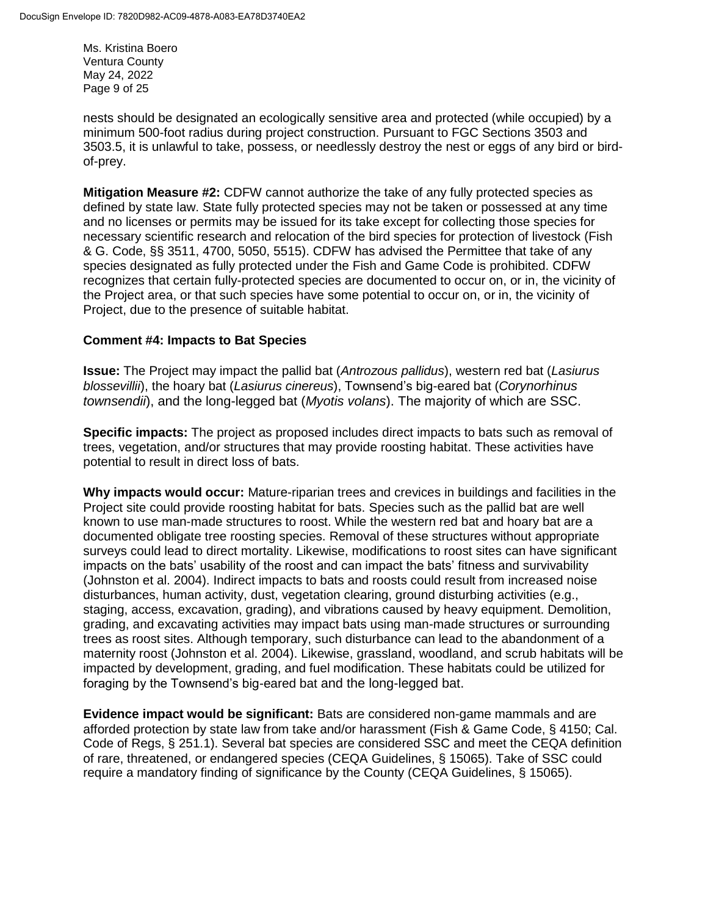Ms. Kristina Boero Ventura County May 24, 2022 Page 9 of 25

nests should be designated an ecologically sensitive area and protected (while occupied) by a minimum 500-foot radius during project construction. Pursuant to FGC Sections 3503 and 3503.5, it is unlawful to take, possess, or needlessly destroy the nest or eggs of any bird or birdof-prey.

**Mitigation Measure #2:** CDFW cannot authorize the take of any fully protected species as defined by state law. State fully protected species may not be taken or possessed at any time and no licenses or permits may be issued for its take except for collecting those species for necessary scientific research and relocation of the bird species for protection of livestock (Fish & G. Code, §§ 3511, 4700, 5050, 5515). CDFW has advised the Permittee that take of any species designated as fully protected under the Fish and Game Code is prohibited. CDFW recognizes that certain fully-protected species are documented to occur on, or in, the vicinity of the Project area, or that such species have some potential to occur on, or in, the vicinity of Project, due to the presence of suitable habitat.

### **Comment #4: Impacts to Bat Species**

**Issue:** The Project may impact the pallid bat (*Antrozous pallidus*), western red bat (*Lasiurus blossevillii*), the hoary bat (*Lasiurus cinereus*), Townsend's big-eared bat (*Corynorhinus townsendii*), and the long-legged bat (*Myotis volans*). The majority of which are SSC.

**Specific impacts:** The project as proposed includes direct impacts to bats such as removal of trees, vegetation, and/or structures that may provide roosting habitat. These activities have potential to result in direct loss of bats.

**Why impacts would occur:** Mature-riparian trees and crevices in buildings and facilities in the Project site could provide roosting habitat for bats. Species such as the pallid bat are well known to use man-made structures to roost. While the western red bat and hoary bat are a documented obligate tree roosting species. Removal of these structures without appropriate surveys could lead to direct mortality. Likewise, modifications to roost sites can have significant impacts on the bats' usability of the roost and can impact the bats' fitness and survivability (Johnston et al. 2004). Indirect impacts to bats and roosts could result from increased noise disturbances, human activity, dust, vegetation clearing, ground disturbing activities (e.g., staging, access, excavation, grading), and vibrations caused by heavy equipment. Demolition, grading, and excavating activities may impact bats using man-made structures or surrounding trees as roost sites. Although temporary, such disturbance can lead to the abandonment of a maternity roost (Johnston et al. 2004). Likewise, grassland, woodland, and scrub habitats will be impacted by development, grading, and fuel modification. These habitats could be utilized for foraging by the Townsend's big-eared bat and the long-legged bat.

**Evidence impact would be significant:** Bats are considered non-game mammals and are afforded protection by state law from take and/or harassment (Fish & Game Code, § 4150; Cal. Code of Regs, § 251.1). Several bat species are considered SSC and meet the CEQA definition of rare, threatened, or endangered species (CEQA Guidelines, § 15065). Take of SSC could require a mandatory finding of significance by the County (CEQA Guidelines, § 15065).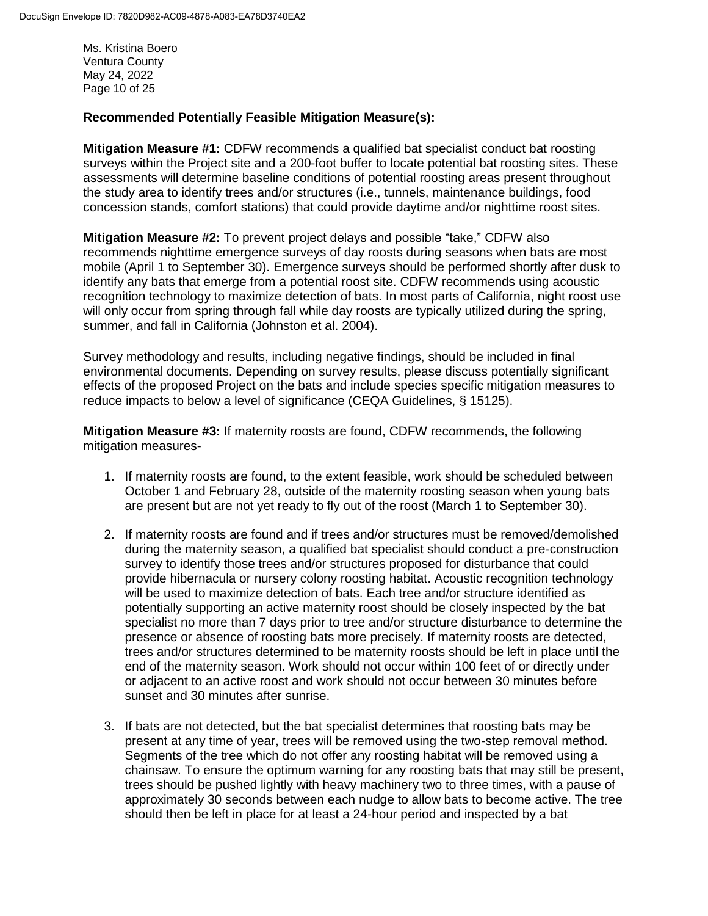Ms. Kristina Boero Ventura County May 24, 2022 Page 10 of 25

### **Recommended Potentially Feasible Mitigation Measure(s):**

**Mitigation Measure #1:** CDFW recommends a qualified bat specialist conduct bat roosting surveys within the Project site and a 200-foot buffer to locate potential bat roosting sites. These assessments will determine baseline conditions of potential roosting areas present throughout the study area to identify trees and/or structures (i.e., tunnels, maintenance buildings, food concession stands, comfort stations) that could provide daytime and/or nighttime roost sites.

**Mitigation Measure #2:** To prevent project delays and possible "take," CDFW also recommends nighttime emergence surveys of day roosts during seasons when bats are most mobile (April 1 to September 30). Emergence surveys should be performed shortly after dusk to identify any bats that emerge from a potential roost site. CDFW recommends using acoustic recognition technology to maximize detection of bats. In most parts of California, night roost use will only occur from spring through fall while day roosts are typically utilized during the spring, summer, and fall in California (Johnston et al. 2004).

Survey methodology and results, including negative findings, should be included in final environmental documents. Depending on survey results, please discuss potentially significant effects of the proposed Project on the bats and include species specific mitigation measures to reduce impacts to below a level of significance (CEQA Guidelines, § 15125).

**Mitigation Measure #3:** If maternity roosts are found, CDFW recommends, the following mitigation measures-

- 1. If maternity roosts are found, to the extent feasible, work should be scheduled between October 1 and February 28, outside of the maternity roosting season when young bats are present but are not yet ready to fly out of the roost (March 1 to September 30).
- 2. If maternity roosts are found and if trees and/or structures must be removed/demolished during the maternity season, a qualified bat specialist should conduct a pre-construction survey to identify those trees and/or structures proposed for disturbance that could provide hibernacula or nursery colony roosting habitat. Acoustic recognition technology will be used to maximize detection of bats. Each tree and/or structure identified as potentially supporting an active maternity roost should be closely inspected by the bat specialist no more than 7 days prior to tree and/or structure disturbance to determine the presence or absence of roosting bats more precisely. If maternity roosts are detected, trees and/or structures determined to be maternity roosts should be left in place until the end of the maternity season. Work should not occur within 100 feet of or directly under or adjacent to an active roost and work should not occur between 30 minutes before sunset and 30 minutes after sunrise.
- 3. If bats are not detected, but the bat specialist determines that roosting bats may be present at any time of year, trees will be removed using the two-step removal method. Segments of the tree which do not offer any roosting habitat will be removed using a chainsaw. To ensure the optimum warning for any roosting bats that may still be present, trees should be pushed lightly with heavy machinery two to three times, with a pause of approximately 30 seconds between each nudge to allow bats to become active. The tree should then be left in place for at least a 24-hour period and inspected by a bat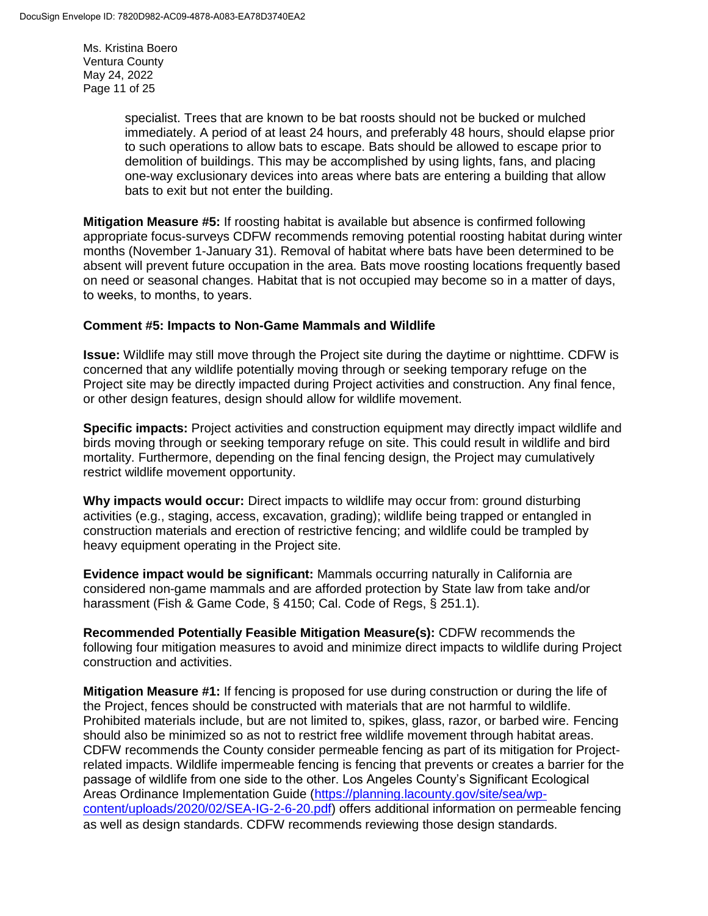Ms. Kristina Boero Ventura County May 24, 2022 Page 11 of 25

> specialist. Trees that are known to be bat roosts should not be bucked or mulched immediately. A period of at least 24 hours, and preferably 48 hours, should elapse prior to such operations to allow bats to escape. Bats should be allowed to escape prior to demolition of buildings. This may be accomplished by using lights, fans, and placing one-way exclusionary devices into areas where bats are entering a building that allow bats to exit but not enter the building.

**Mitigation Measure #5:** If roosting habitat is available but absence is confirmed following appropriate focus-surveys CDFW recommends removing potential roosting habitat during winter months (November 1-January 31). Removal of habitat where bats have been determined to be absent will prevent future occupation in the area. Bats move roosting locations frequently based on need or seasonal changes. Habitat that is not occupied may become so in a matter of days, to weeks, to months, to years.  

### **Comment #5: Impacts to Non-Game Mammals and Wildlife**

**Issue:** Wildlife may still move through the Project site during the daytime or nighttime. CDFW is concerned that any wildlife potentially moving through or seeking temporary refuge on the Project site may be directly impacted during Project activities and construction. Any final fence, or other design features, design should allow for wildlife movement.

**Specific impacts:** Project activities and construction equipment may directly impact wildlife and birds moving through or seeking temporary refuge on site. This could result in wildlife and bird mortality. Furthermore, depending on the final fencing design, the Project may cumulatively restrict wildlife movement opportunity.

**Why impacts would occur:** Direct impacts to wildlife may occur from: ground disturbing activities (e.g., staging, access, excavation, grading); wildlife being trapped or entangled in construction materials and erection of restrictive fencing; and wildlife could be trampled by heavy equipment operating in the Project site.

**Evidence impact would be significant:** Mammals occurring naturally in California are considered non-game mammals and are afforded protection by State law from take and/or harassment (Fish & Game Code, § 4150; Cal. Code of Regs, § 251.1).

**Recommended Potentially Feasible Mitigation Measure(s):** CDFW recommends the following four mitigation measures to avoid and minimize direct impacts to wildlife during Project construction and activities.

**Mitigation Measure #1:** If fencing is proposed for use during construction or during the life of the Project, fences should be constructed with materials that are not harmful to wildlife. Prohibited materials include, but are not limited to, spikes, glass, razor, or barbed wire. Fencing should also be minimized so as not to restrict free wildlife movement through habitat areas. CDFW recommends the County consider permeable fencing as part of its mitigation for Projectrelated impacts. Wildlife impermeable fencing is fencing that prevents or creates a barrier for the passage of wildlife from one side to the other. Los Angeles County's Significant Ecological Areas Ordinance Implementation Guide [\(https://planning.lacounty.gov/site/sea/wp](https://planning.lacounty.gov/site/sea/wp-content/uploads/2020/02/SEA-IG-2-6-20.pdf)[content/uploads/2020/02/SEA-IG-2-6-20.pdf\)](https://planning.lacounty.gov/site/sea/wp-content/uploads/2020/02/SEA-IG-2-6-20.pdf) offers additional information on permeable fencing as well as design standards. CDFW recommends reviewing those design standards.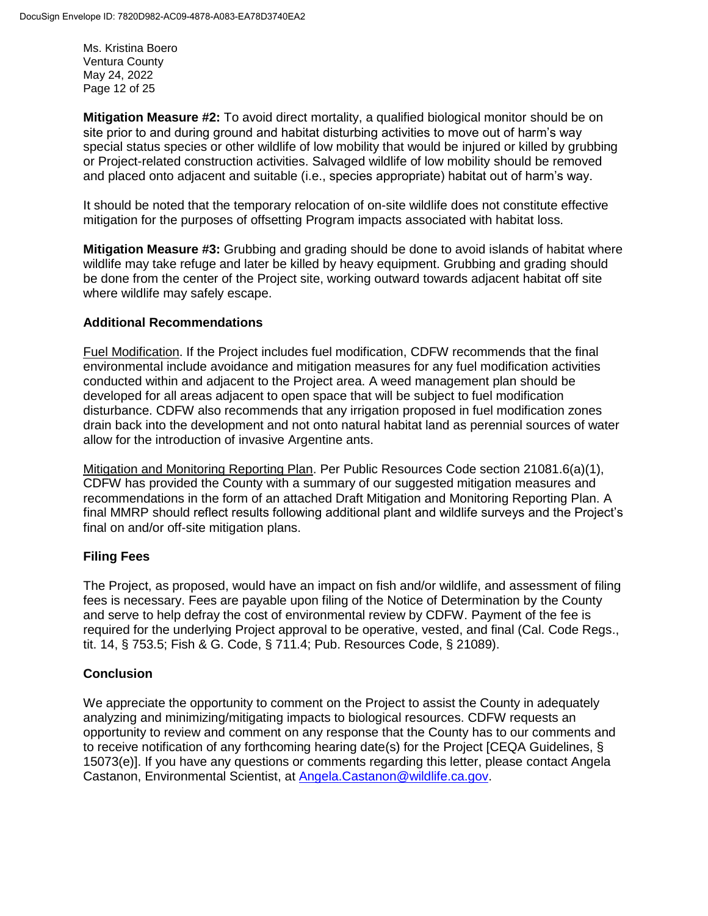Ms. Kristina Boero Ventura County May 24, 2022 Page 12 of 25

**Mitigation Measure #2:** To avoid direct mortality, a qualified biological monitor should be on site prior to and during ground and habitat disturbing activities to move out of harm's way special status species or other wildlife of low mobility that would be injured or killed by grubbing or Project-related construction activities. Salvaged wildlife of low mobility should be removed and placed onto adjacent and suitable (i.e., species appropriate) habitat out of harm's way.

It should be noted that the temporary relocation of on-site wildlife does not constitute effective mitigation for the purposes of offsetting Program impacts associated with habitat loss.

**Mitigation Measure #3:** Grubbing and grading should be done to avoid islands of habitat where wildlife may take refuge and later be killed by heavy equipment. Grubbing and grading should be done from the center of the Project site, working outward towards adjacent habitat off site where wildlife may safely escape.

### **Additional Recommendations**

Fuel Modification. If the Project includes fuel modification, CDFW recommends that the final environmental include avoidance and mitigation measures for any fuel modification activities conducted within and adjacent to the Project area. A weed management plan should be developed for all areas adjacent to open space that will be subject to fuel modification disturbance. CDFW also recommends that any irrigation proposed in fuel modification zones drain back into the development and not onto natural habitat land as perennial sources of water allow for the introduction of invasive Argentine ants.

Mitigation and Monitoring Reporting Plan. Per Public Resources Code section 21081.6(a)(1), CDFW has provided the County with a summary of our suggested mitigation measures and recommendations in the form of an attached Draft Mitigation and Monitoring Reporting Plan. A final MMRP should reflect results following additional plant and wildlife surveys and the Project's final on and/or off-site mitigation plans.

### **Filing Fees**

The Project, as proposed, would have an impact on fish and/or wildlife, and assessment of filing fees is necessary. Fees are payable upon filing of the Notice of Determination by the County and serve to help defray the cost of environmental review by CDFW. Payment of the fee is required for the underlying Project approval to be operative, vested, and final (Cal. Code Regs., tit. 14, § 753.5; Fish & G. Code, § 711.4; Pub. Resources Code, § 21089).

### **Conclusion**

We appreciate the opportunity to comment on the Project to assist the County in adequately analyzing and minimizing/mitigating impacts to biological resources. CDFW requests an opportunity to review and comment on any response that the County has to our comments and to receive notification of any forthcoming hearing date(s) for the Project [CEQA Guidelines, § 15073(e)]. If you have any questions or comments regarding this letter, please contact Angela Castanon, Environmental Scientist, at [Angela.Castanon@wildlife.ca.gov.](mailto:Baron.Barrera@wildlife.ca.gov)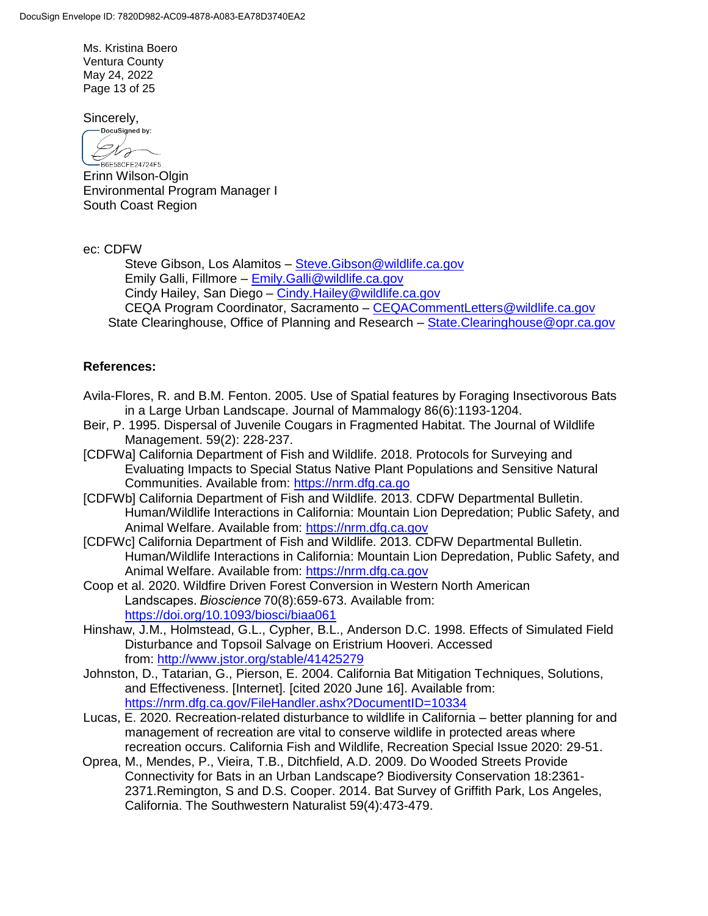Ms. Kristina Boero Ventura County May 24, 2022 Page 13 of 25

Sincerely,

-DocuSigned by: Dra -<br>B6E58CFE24724F5...

Erinn Wilson-Olgin Environmental Program Manager I South Coast Region

ec: CDFW

Steve Gibson, Los Alamitos – [Steve.Gibson@wildlife.ca.gov](mailto:Steve.Gibson@wildlife.ca.gov) Emily Galli, Fillmore – [Emily.Galli@wildlife.ca.gov](mailto:Emily.Galli@wildlife.ca.gov) Cindy Hailey, San Diego – [Cindy.Hailey@wildlife.ca.gov](mailto:Cindy.Hailey@wildlife.ca.gov) CEQA Program Coordinator, Sacramento – [CEQACommentLetters@wildlife.ca.gov](mailto:CEQACommentLetters@wildlife.ca.gov)  State Clearinghouse, Office of Planning and Research – State. Clearinghouse@opr.ca.gov

### **References:**

- Avila-Flores, R. and B.M. Fenton. 2005. Use of Spatial features by Foraging Insectivorous Bats in a Large Urban Landscape. Journal of Mammalogy 86(6):1193-1204.
- Beir, P. 1995. Dispersal of Juvenile Cougars in Fragmented Habitat. The Journal of Wildlife Management. 59(2): 228-237.
- [CDFWa] California Department of Fish and Wildlife. 2018. Protocols for Surveying and Evaluating Impacts to Special Status Native Plant Populations and Sensitive Natural Communities. Available from: [https://nrm.dfg.ca.go](https://nrm.dfg.ca.gov/FileHandler.ashx?DocumentID=18959&inline)
- [CDFWb] California Department of Fish and Wildlife. 2013. CDFW Departmental Bulletin. Human/Wildlife Interactions in California: Mountain Lion Depredation; Public Safety, and Animal Welfare. Available from: [https://nrm.dfg.ca.gov](https://nrm.dfg.ca.gov/)
- [CDFWc] California Department of Fish and Wildlife. 2013. CDFW Departmental Bulletin. Human/Wildlife Interactions in California: Mountain Lion Depredation, Public Safety, and Animal Welfare. Available from: [https://nrm.dfg.ca.gov](https://nrm.dfg.ca.gov/)
- Coop et al. 2020. Wildfire Driven Forest Conversion in Western North American Landscapes. *Bioscience*70(8):659-673. Available from: https://doi.org/10.1093/biosci/biaa061
- Hinshaw, J.M., Holmstead, G.L., Cypher, B.L., Anderson D.C. 1998. Effects of Simulated Field Disturbance and Topsoil Salvage on Eristrium Hooveri. Accessed from: <http://www.jstor.org/stable/41425279>
- Johnston, D., Tatarian, G., Pierson, E. 2004. California Bat Mitigation Techniques, Solutions, and Effectiveness. [Internet]. [cited 2020 June 16]. Available from: <https://nrm.dfg.ca.gov/FileHandler.ashx?DocumentID=10334>
- Lucas, E. 2020. Recreation-related disturbance to wildlife in California better planning for and management of recreation are vital to conserve wildlife in protected areas where recreation occurs. California Fish and Wildlife, Recreation Special Issue 2020: 29-51.
- Oprea, M., Mendes, P., Vieira, T.B., Ditchfield, A.D. 2009. Do Wooded Streets Provide Connectivity for Bats in an Urban Landscape? Biodiversity Conservation 18:2361- 2371.Remington, S and D.S. Cooper. 2014. Bat Survey of Griffith Park, Los Angeles, California. The Southwestern Naturalist 59(4):473-479.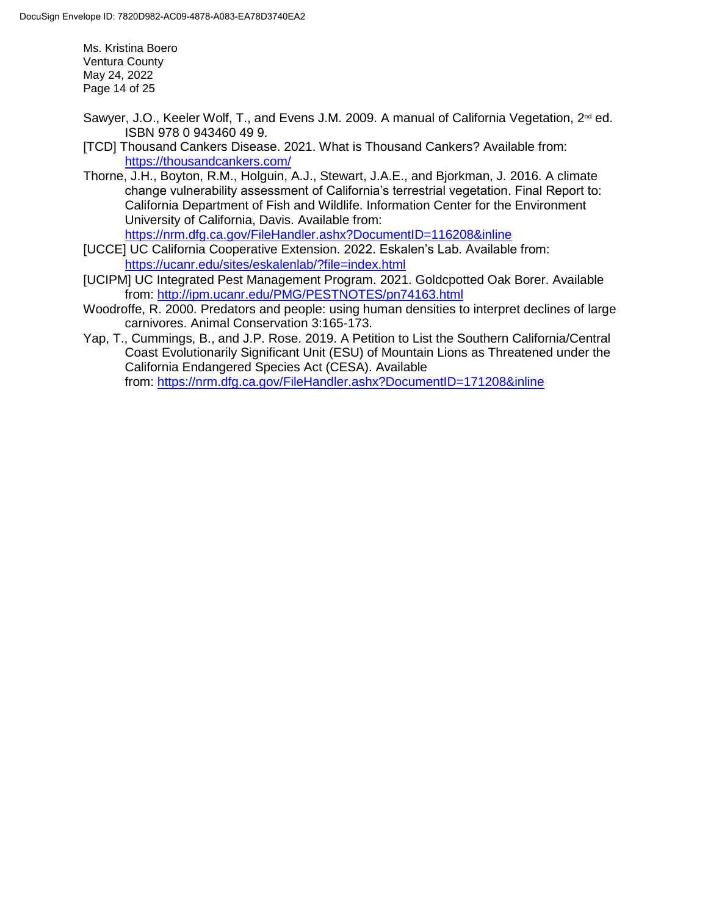Ms. Kristina Boero Ventura County May 24, 2022 Page 14 of 25

- Sawyer, J.O., Keeler Wolf, T., and Evens J.M. 2009. A manual of California Vegetation, 2<sup>nd</sup> ed. ISBN 978 0 943460 49 9.
- [TCD] Thousand Cankers Disease. 2021. What is Thousand Cankers? Available from: <https://thousandcankers.com/>
- Thorne, J.H., Boyton, R.M., Holguin, A.J., Stewart, J.A.E., and Bjorkman, J. 2016. A climate change vulnerability assessment of California's terrestrial vegetation. Final Report to: California Department of Fish and Wildlife. Information Center for the Environment University of California, Davis. Available from:

<https://nrm.dfg.ca.gov/FileHandler.ashx?DocumentID=116208&inline>

- [UCCE] UC California Cooperative Extension. 2022. Eskalen's Lab. Available from: <https://ucanr.edu/sites/eskalenlab/?file=index.html>
- [UCIPM] UC Integrated Pest Management Program. 2021. Goldcpotted Oak Borer. Available from:<http://ipm.ucanr.edu/PMG/PESTNOTES/pn74163.html>
- Woodroffe, R. 2000. Predators and people: using human densities to interpret declines of large carnivores. Animal Conservation 3:165-173.
- Yap, T., Cummings, B., and J.P. Rose. 2019. A Petition to List the Southern California/Central Coast Evolutionarily Significant Unit (ESU) of Mountain Lions as Threatened under the California Endangered Species Act (CESA). Available from: <https://nrm.dfg.ca.gov/FileHandler.ashx?DocumentID=171208&inline>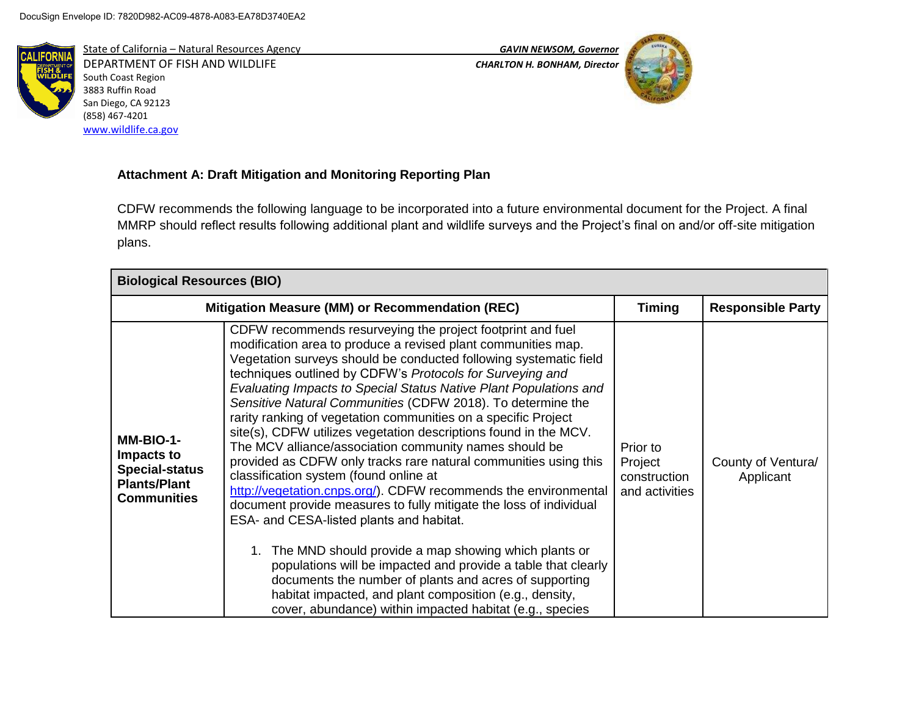

State of California – Natural Resources Agency *GAVIN NEWSOM, Governor* DEPARTMENT OF FISH AND WILDLIFE *CHARLTON H. BONHAM, Director*  South Coast Region 3883 Ruffin Road San Diego, CA 92123 (858) 467-4201 [www.wildlife.ca.gov](http://www.wildlife.ca.gov/)



## **Attachment A: Draft Mitigation and Monitoring Reporting Plan**

CDFW recommends the following language to be incorporated into a future environmental document for the Project. A final MMRP should reflect results following additional plant and wildlife surveys and the Project's final on and/or off-site mitigation plans.

| <b>Biological Resources (BIO)</b>                                                             |                                                                                                                                                                                                                                                                                                                                                                                                                                                                                                                                                                                                                                                                                                                                                                                                                                                                                                                                                                                                                                                                                                                                                                                                                |                                                       |                                 |  |
|-----------------------------------------------------------------------------------------------|----------------------------------------------------------------------------------------------------------------------------------------------------------------------------------------------------------------------------------------------------------------------------------------------------------------------------------------------------------------------------------------------------------------------------------------------------------------------------------------------------------------------------------------------------------------------------------------------------------------------------------------------------------------------------------------------------------------------------------------------------------------------------------------------------------------------------------------------------------------------------------------------------------------------------------------------------------------------------------------------------------------------------------------------------------------------------------------------------------------------------------------------------------------------------------------------------------------|-------------------------------------------------------|---------------------------------|--|
|                                                                                               | Mitigation Measure (MM) or Recommendation (REC)                                                                                                                                                                                                                                                                                                                                                                                                                                                                                                                                                                                                                                                                                                                                                                                                                                                                                                                                                                                                                                                                                                                                                                | <b>Timing</b>                                         | <b>Responsible Party</b>        |  |
| MM-BIO-1-<br>Impacts to<br><b>Special-status</b><br><b>Plants/Plant</b><br><b>Communities</b> | CDFW recommends resurveying the project footprint and fuel<br>modification area to produce a revised plant communities map.<br>Vegetation surveys should be conducted following systematic field<br>techniques outlined by CDFW's Protocols for Surveying and<br>Evaluating Impacts to Special Status Native Plant Populations and<br>Sensitive Natural Communities (CDFW 2018). To determine the<br>rarity ranking of vegetation communities on a specific Project<br>site(s), CDFW utilizes vegetation descriptions found in the MCV.<br>The MCV alliance/association community names should be<br>provided as CDFW only tracks rare natural communities using this<br>classification system (found online at<br>http://vegetation.cnps.org/). CDFW recommends the environmental<br>document provide measures to fully mitigate the loss of individual<br>ESA- and CESA-listed plants and habitat.<br>The MND should provide a map showing which plants or<br>populations will be impacted and provide a table that clearly<br>documents the number of plants and acres of supporting<br>habitat impacted, and plant composition (e.g., density,<br>cover, abundance) within impacted habitat (e.g., species | Prior to<br>Project<br>construction<br>and activities | County of Ventura/<br>Applicant |  |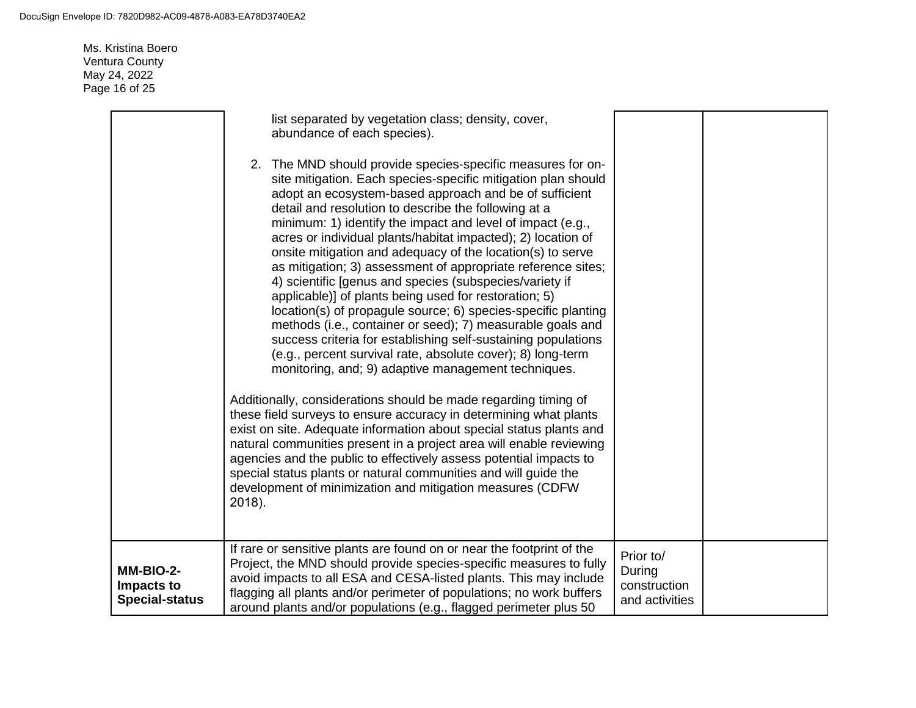Ms. Kristina Boero Ventura County May 24, 2022 Page 16 of 25

|                                                  | list separated by vegetation class; density, cover,<br>abundance of each species).                                                                                                                                                                                                                                                                                                                                                                                                                                                                                                                                                                                                                                                                                                                                                                                                                                                                   |                                                       |  |
|--------------------------------------------------|------------------------------------------------------------------------------------------------------------------------------------------------------------------------------------------------------------------------------------------------------------------------------------------------------------------------------------------------------------------------------------------------------------------------------------------------------------------------------------------------------------------------------------------------------------------------------------------------------------------------------------------------------------------------------------------------------------------------------------------------------------------------------------------------------------------------------------------------------------------------------------------------------------------------------------------------------|-------------------------------------------------------|--|
|                                                  | 2. The MND should provide species-specific measures for on-<br>site mitigation. Each species-specific mitigation plan should<br>adopt an ecosystem-based approach and be of sufficient<br>detail and resolution to describe the following at a<br>minimum: 1) identify the impact and level of impact (e.g.,<br>acres or individual plants/habitat impacted); 2) location of<br>onsite mitigation and adequacy of the location(s) to serve<br>as mitigation; 3) assessment of appropriate reference sites;<br>4) scientific [genus and species (subspecies/variety if<br>applicable)] of plants being used for restoration; 5)<br>location(s) of propagule source; 6) species-specific planting<br>methods (i.e., container or seed); 7) measurable goals and<br>success criteria for establishing self-sustaining populations<br>(e.g., percent survival rate, absolute cover); 8) long-term<br>monitoring, and; 9) adaptive management techniques. |                                                       |  |
|                                                  | Additionally, considerations should be made regarding timing of<br>these field surveys to ensure accuracy in determining what plants<br>exist on site. Adequate information about special status plants and<br>natural communities present in a project area will enable reviewing<br>agencies and the public to effectively assess potential impacts to<br>special status plants or natural communities and will guide the<br>development of minimization and mitigation measures (CDFW<br>2018).                                                                                                                                                                                                                                                                                                                                                                                                                                                   |                                                       |  |
| MM-BIO-2-<br>Impacts to<br><b>Special-status</b> | If rare or sensitive plants are found on or near the footprint of the<br>Project, the MND should provide species-specific measures to fully<br>avoid impacts to all ESA and CESA-listed plants. This may include<br>flagging all plants and/or perimeter of populations; no work buffers<br>around plants and/or populations (e.g., flagged perimeter plus 50                                                                                                                                                                                                                                                                                                                                                                                                                                                                                                                                                                                        | Prior to/<br>During<br>construction<br>and activities |  |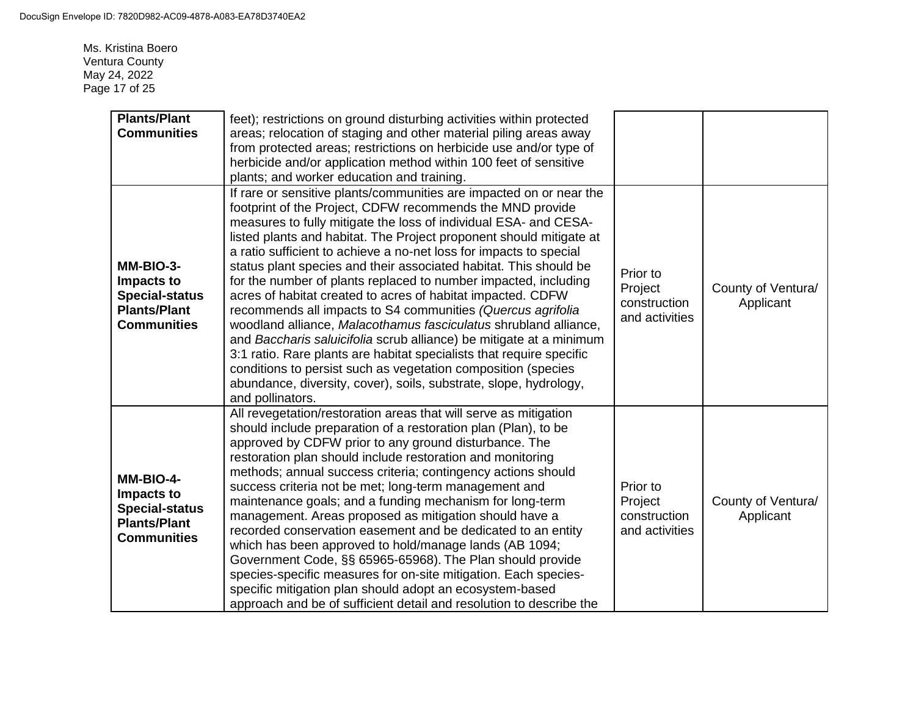Ms. Kristina Boero Ventura County May 24, 2022 Page 17 of 25

| <b>Plants/Plant</b><br><b>Communities</b>                                                     | feet); restrictions on ground disturbing activities within protected<br>areas; relocation of staging and other material piling areas away<br>from protected areas; restrictions on herbicide use and/or type of<br>herbicide and/or application method within 100 feet of sensitive<br>plants; and worker education and training.                                                                                                                                                                                                                                                                                                                                                                                                                                                                                                                                                                                                                                                                    |                                                       |                                 |
|-----------------------------------------------------------------------------------------------|------------------------------------------------------------------------------------------------------------------------------------------------------------------------------------------------------------------------------------------------------------------------------------------------------------------------------------------------------------------------------------------------------------------------------------------------------------------------------------------------------------------------------------------------------------------------------------------------------------------------------------------------------------------------------------------------------------------------------------------------------------------------------------------------------------------------------------------------------------------------------------------------------------------------------------------------------------------------------------------------------|-------------------------------------------------------|---------------------------------|
| MM-BIO-3-<br>Impacts to<br><b>Special-status</b><br><b>Plants/Plant</b><br><b>Communities</b> | If rare or sensitive plants/communities are impacted on or near the<br>footprint of the Project, CDFW recommends the MND provide<br>measures to fully mitigate the loss of individual ESA- and CESA-<br>listed plants and habitat. The Project proponent should mitigate at<br>a ratio sufficient to achieve a no-net loss for impacts to special<br>status plant species and their associated habitat. This should be<br>for the number of plants replaced to number impacted, including<br>acres of habitat created to acres of habitat impacted. CDFW<br>recommends all impacts to S4 communities (Quercus agrifolia<br>woodland alliance, Malacothamus fasciculatus shrubland alliance,<br>and Baccharis saluicifolia scrub alliance) be mitigate at a minimum<br>3:1 ratio. Rare plants are habitat specialists that require specific<br>conditions to persist such as vegetation composition (species<br>abundance, diversity, cover), soils, substrate, slope, hydrology,<br>and pollinators. | Prior to<br>Project<br>construction<br>and activities | County of Ventura/<br>Applicant |
| MM-BIO-4-<br>Impacts to<br><b>Special-status</b><br><b>Plants/Plant</b><br><b>Communities</b> | All revegetation/restoration areas that will serve as mitigation<br>should include preparation of a restoration plan (Plan), to be<br>approved by CDFW prior to any ground disturbance. The<br>restoration plan should include restoration and monitoring<br>methods; annual success criteria; contingency actions should<br>success criteria not be met; long-term management and<br>maintenance goals; and a funding mechanism for long-term<br>management. Areas proposed as mitigation should have a<br>recorded conservation easement and be dedicated to an entity<br>which has been approved to hold/manage lands (AB 1094;<br>Government Code, §§ 65965-65968). The Plan should provide<br>species-specific measures for on-site mitigation. Each species-<br>specific mitigation plan should adopt an ecosystem-based<br>approach and be of sufficient detail and resolution to describe the                                                                                                | Prior to<br>Project<br>construction<br>and activities | County of Ventura/<br>Applicant |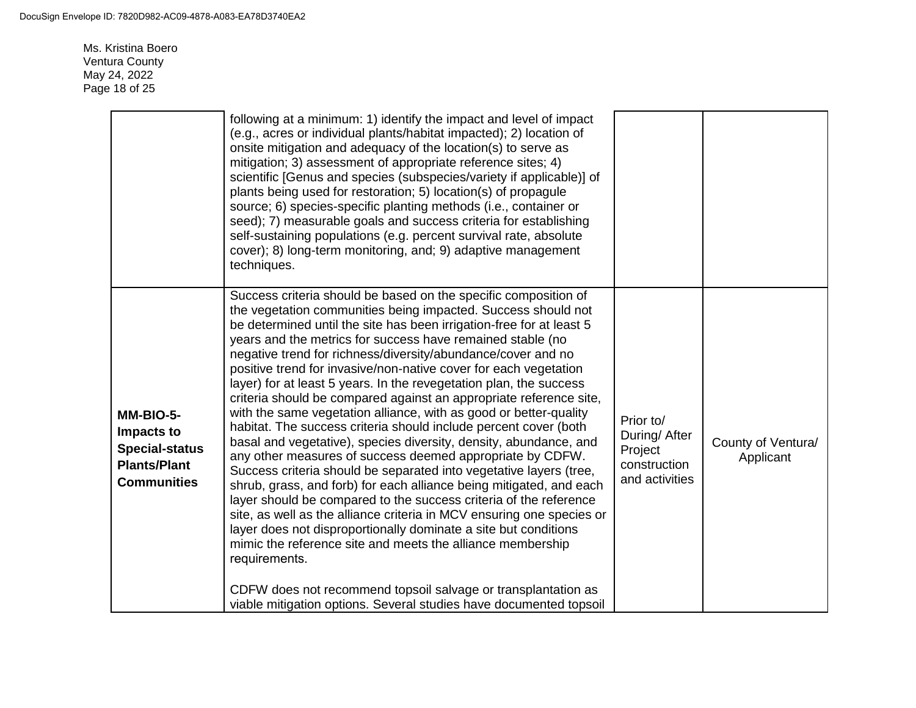Ms. Kristina Boero Ventura County May 24, 2022 Page 18 of 25

|                                                                                               | following at a minimum: 1) identify the impact and level of impact<br>(e.g., acres or individual plants/habitat impacted); 2) location of<br>onsite mitigation and adequacy of the location(s) to serve as<br>mitigation; 3) assessment of appropriate reference sites; 4)<br>scientific [Genus and species (subspecies/variety if applicable)] of<br>plants being used for restoration; 5) location(s) of propagule<br>source; 6) species-specific planting methods (i.e., container or<br>seed); 7) measurable goals and success criteria for establishing<br>self-sustaining populations (e.g. percent survival rate, absolute<br>cover); 8) long-term monitoring, and; 9) adaptive management<br>techniques.                                                                                                                                                                                                                                                                                                                                                                                                                                                                                                                                                                                                                                                                                                      |                                                                         |                                 |
|-----------------------------------------------------------------------------------------------|-----------------------------------------------------------------------------------------------------------------------------------------------------------------------------------------------------------------------------------------------------------------------------------------------------------------------------------------------------------------------------------------------------------------------------------------------------------------------------------------------------------------------------------------------------------------------------------------------------------------------------------------------------------------------------------------------------------------------------------------------------------------------------------------------------------------------------------------------------------------------------------------------------------------------------------------------------------------------------------------------------------------------------------------------------------------------------------------------------------------------------------------------------------------------------------------------------------------------------------------------------------------------------------------------------------------------------------------------------------------------------------------------------------------------|-------------------------------------------------------------------------|---------------------------------|
| MM-BIO-5-<br>Impacts to<br><b>Special-status</b><br><b>Plants/Plant</b><br><b>Communities</b> | Success criteria should be based on the specific composition of<br>the vegetation communities being impacted. Success should not<br>be determined until the site has been irrigation-free for at least 5<br>years and the metrics for success have remained stable (no<br>negative trend for richness/diversity/abundance/cover and no<br>positive trend for invasive/non-native cover for each vegetation<br>layer) for at least 5 years. In the revegetation plan, the success<br>criteria should be compared against an appropriate reference site,<br>with the same vegetation alliance, with as good or better-quality<br>habitat. The success criteria should include percent cover (both<br>basal and vegetative), species diversity, density, abundance, and<br>any other measures of success deemed appropriate by CDFW.<br>Success criteria should be separated into vegetative layers (tree,<br>shrub, grass, and forb) for each alliance being mitigated, and each<br>layer should be compared to the success criteria of the reference<br>site, as well as the alliance criteria in MCV ensuring one species or<br>layer does not disproportionally dominate a site but conditions<br>mimic the reference site and meets the alliance membership<br>requirements.<br>CDFW does not recommend topsoil salvage or transplantation as<br>viable mitigation options. Several studies have documented topsoil | Prior to/<br>During/ After<br>Project<br>construction<br>and activities | County of Ventura/<br>Applicant |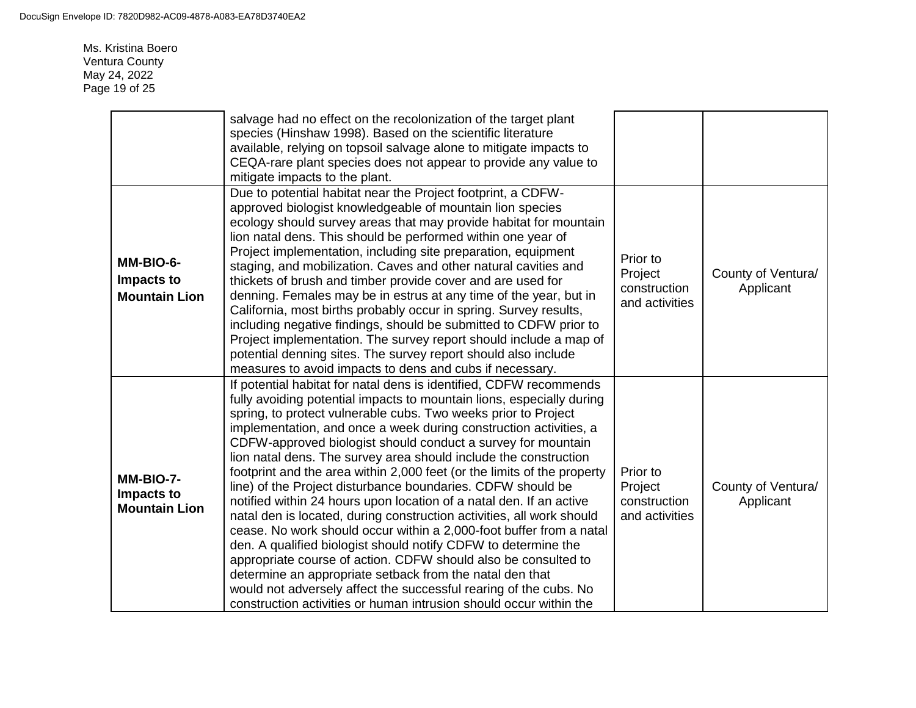Ms. Kristina Boero Ventura County May 24, 2022 Page 19 of 25

|                                                 | salvage had no effect on the recolonization of the target plant<br>species (Hinshaw 1998). Based on the scientific literature<br>available, relying on topsoil salvage alone to mitigate impacts to<br>CEQA-rare plant species does not appear to provide any value to<br>mitigate impacts to the plant.                                                                                                                                                                                                                                                                                                                                                                                                                                                                                                                                                                                                                                                                                                                                                                                                                           |                                                       |                                 |
|-------------------------------------------------|------------------------------------------------------------------------------------------------------------------------------------------------------------------------------------------------------------------------------------------------------------------------------------------------------------------------------------------------------------------------------------------------------------------------------------------------------------------------------------------------------------------------------------------------------------------------------------------------------------------------------------------------------------------------------------------------------------------------------------------------------------------------------------------------------------------------------------------------------------------------------------------------------------------------------------------------------------------------------------------------------------------------------------------------------------------------------------------------------------------------------------|-------------------------------------------------------|---------------------------------|
| MM-BIO-6-<br>Impacts to<br><b>Mountain Lion</b> | Due to potential habitat near the Project footprint, a CDFW-<br>approved biologist knowledgeable of mountain lion species<br>ecology should survey areas that may provide habitat for mountain<br>lion natal dens. This should be performed within one year of<br>Project implementation, including site preparation, equipment<br>staging, and mobilization. Caves and other natural cavities and<br>thickets of brush and timber provide cover and are used for<br>denning. Females may be in estrus at any time of the year, but in<br>California, most births probably occur in spring. Survey results,<br>including negative findings, should be submitted to CDFW prior to<br>Project implementation. The survey report should include a map of<br>potential denning sites. The survey report should also include<br>measures to avoid impacts to dens and cubs if necessary.                                                                                                                                                                                                                                                | Prior to<br>Project<br>construction<br>and activities | County of Ventura/<br>Applicant |
| MM-BIO-7-<br>Impacts to<br><b>Mountain Lion</b> | If potential habitat for natal dens is identified, CDFW recommends<br>fully avoiding potential impacts to mountain lions, especially during<br>spring, to protect vulnerable cubs. Two weeks prior to Project<br>implementation, and once a week during construction activities, a<br>CDFW-approved biologist should conduct a survey for mountain<br>lion natal dens. The survey area should include the construction<br>footprint and the area within 2,000 feet (or the limits of the property<br>line) of the Project disturbance boundaries. CDFW should be<br>notified within 24 hours upon location of a natal den. If an active<br>natal den is located, during construction activities, all work should<br>cease. No work should occur within a 2,000-foot buffer from a natal<br>den. A qualified biologist should notify CDFW to determine the<br>appropriate course of action. CDFW should also be consulted to<br>determine an appropriate setback from the natal den that<br>would not adversely affect the successful rearing of the cubs. No<br>construction activities or human intrusion should occur within the | Prior to<br>Project<br>construction<br>and activities | County of Ventura/<br>Applicant |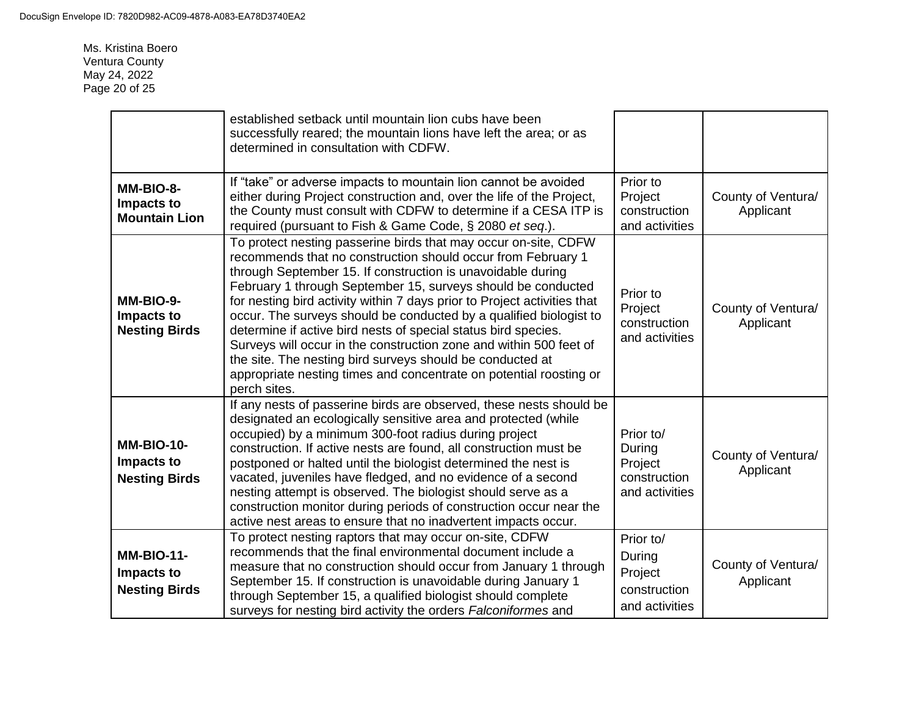Ms. Kristina Boero Ventura County May 24, 2022 Page 20 of 25

|                                                         | established setback until mountain lion cubs have been<br>successfully reared; the mountain lions have left the area; or as<br>determined in consultation with CDFW.                                                                                                                                                                                                                                                                                                                                                                                                                                                                                                                                        |                                                                  |                                 |
|---------------------------------------------------------|-------------------------------------------------------------------------------------------------------------------------------------------------------------------------------------------------------------------------------------------------------------------------------------------------------------------------------------------------------------------------------------------------------------------------------------------------------------------------------------------------------------------------------------------------------------------------------------------------------------------------------------------------------------------------------------------------------------|------------------------------------------------------------------|---------------------------------|
| MM-BIO-8-<br>Impacts to<br><b>Mountain Lion</b>         | If "take" or adverse impacts to mountain lion cannot be avoided<br>either during Project construction and, over the life of the Project,<br>the County must consult with CDFW to determine if a CESA ITP is<br>required (pursuant to Fish & Game Code, § 2080 et seq.).                                                                                                                                                                                                                                                                                                                                                                                                                                     | Prior to<br>Project<br>construction<br>and activities            | County of Ventura/<br>Applicant |
| MM-BIO-9-<br>Impacts to<br><b>Nesting Birds</b>         | To protect nesting passerine birds that may occur on-site, CDFW<br>recommends that no construction should occur from February 1<br>through September 15. If construction is unavoidable during<br>February 1 through September 15, surveys should be conducted<br>for nesting bird activity within 7 days prior to Project activities that<br>occur. The surveys should be conducted by a qualified biologist to<br>determine if active bird nests of special status bird species.<br>Surveys will occur in the construction zone and within 500 feet of<br>the site. The nesting bird surveys should be conducted at<br>appropriate nesting times and concentrate on potential roosting or<br>perch sites. | Prior to<br>Project<br>construction<br>and activities            | County of Ventura/<br>Applicant |
| <b>MM-BIO-10-</b><br>Impacts to<br><b>Nesting Birds</b> | If any nests of passerine birds are observed, these nests should be<br>designated an ecologically sensitive area and protected (while<br>occupied) by a minimum 300-foot radius during project<br>construction. If active nests are found, all construction must be<br>postponed or halted until the biologist determined the nest is<br>vacated, juveniles have fledged, and no evidence of a second<br>nesting attempt is observed. The biologist should serve as a<br>construction monitor during periods of construction occur near the<br>active nest areas to ensure that no inadvertent impacts occur.                                                                                               | Prior to/<br>During<br>Project<br>construction<br>and activities | County of Ventura/<br>Applicant |
| <b>MM-BIO-11-</b><br>Impacts to<br><b>Nesting Birds</b> | To protect nesting raptors that may occur on-site, CDFW<br>recommends that the final environmental document include a<br>measure that no construction should occur from January 1 through<br>September 15. If construction is unavoidable during January 1<br>through September 15, a qualified biologist should complete<br>surveys for nesting bird activity the orders Falconiformes and                                                                                                                                                                                                                                                                                                                 | Prior to/<br>During<br>Project<br>construction<br>and activities | County of Ventura/<br>Applicant |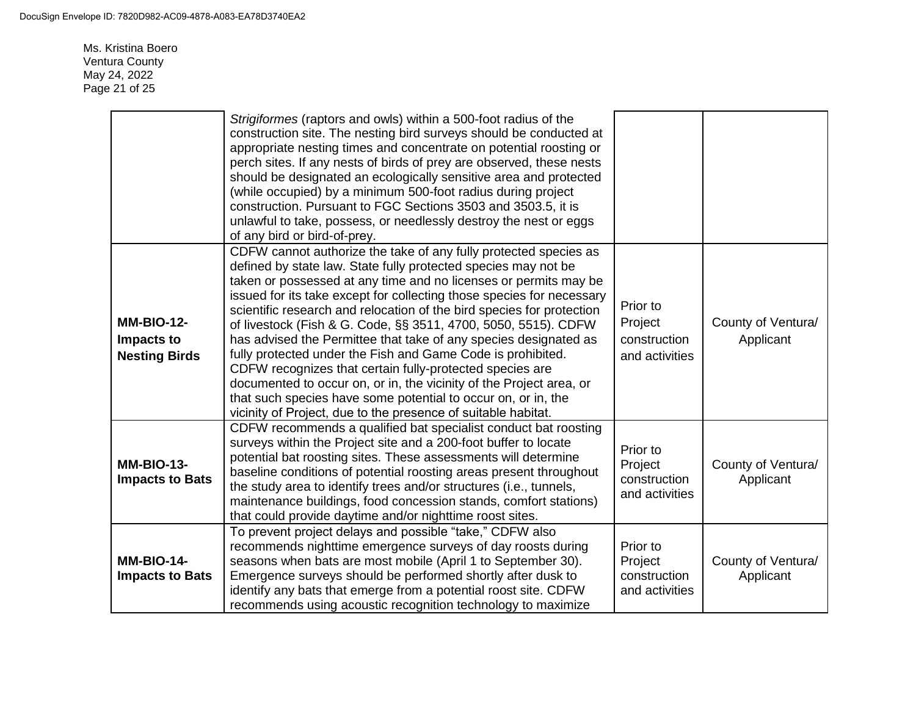Ms. Kristina Boero Ventura County May 24, 2022 Page 21 of 25

|                                                         | Strigiformes (raptors and owls) within a 500-foot radius of the<br>construction site. The nesting bird surveys should be conducted at<br>appropriate nesting times and concentrate on potential roosting or<br>perch sites. If any nests of birds of prey are observed, these nests<br>should be designated an ecologically sensitive area and protected<br>(while occupied) by a minimum 500-foot radius during project<br>construction. Pursuant to FGC Sections 3503 and 3503.5, it is<br>unlawful to take, possess, or needlessly destroy the nest or eggs<br>of any bird or bird-of-prey.                                                                                                                                                                                                                                     |                                                       |                                 |
|---------------------------------------------------------|------------------------------------------------------------------------------------------------------------------------------------------------------------------------------------------------------------------------------------------------------------------------------------------------------------------------------------------------------------------------------------------------------------------------------------------------------------------------------------------------------------------------------------------------------------------------------------------------------------------------------------------------------------------------------------------------------------------------------------------------------------------------------------------------------------------------------------|-------------------------------------------------------|---------------------------------|
| <b>MM-BIO-12-</b><br>Impacts to<br><b>Nesting Birds</b> | CDFW cannot authorize the take of any fully protected species as<br>defined by state law. State fully protected species may not be<br>taken or possessed at any time and no licenses or permits may be<br>issued for its take except for collecting those species for necessary<br>scientific research and relocation of the bird species for protection<br>of livestock (Fish & G. Code, §§ 3511, 4700, 5050, 5515). CDFW<br>has advised the Permittee that take of any species designated as<br>fully protected under the Fish and Game Code is prohibited.<br>CDFW recognizes that certain fully-protected species are<br>documented to occur on, or in, the vicinity of the Project area, or<br>that such species have some potential to occur on, or in, the<br>vicinity of Project, due to the presence of suitable habitat. | Prior to<br>Project<br>construction<br>and activities | County of Ventura/<br>Applicant |
| <b>MM-BIO-13-</b><br><b>Impacts to Bats</b>             | CDFW recommends a qualified bat specialist conduct bat roosting<br>surveys within the Project site and a 200-foot buffer to locate<br>potential bat roosting sites. These assessments will determine<br>baseline conditions of potential roosting areas present throughout<br>the study area to identify trees and/or structures (i.e., tunnels,<br>maintenance buildings, food concession stands, comfort stations)<br>that could provide daytime and/or nighttime roost sites.                                                                                                                                                                                                                                                                                                                                                   | Prior to<br>Project<br>construction<br>and activities | County of Ventura/<br>Applicant |
| <b>MM-BIO-14-</b><br><b>Impacts to Bats</b>             | To prevent project delays and possible "take," CDFW also<br>recommends nighttime emergence surveys of day roosts during<br>seasons when bats are most mobile (April 1 to September 30).<br>Emergence surveys should be performed shortly after dusk to<br>identify any bats that emerge from a potential roost site. CDFW<br>recommends using acoustic recognition technology to maximize                                                                                                                                                                                                                                                                                                                                                                                                                                          | Prior to<br>Project<br>construction<br>and activities | County of Ventura/<br>Applicant |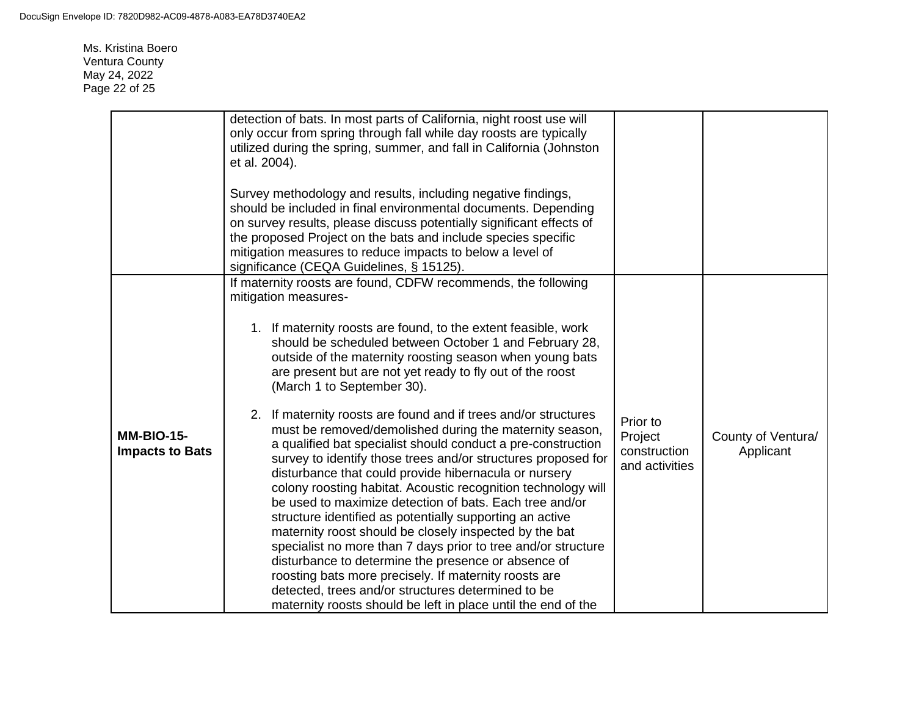Ms. Kristina Boero Ventura County May 24, 2022 Page 22 of 25

|                                             | detection of bats. In most parts of California, night roost use will<br>only occur from spring through fall while day roosts are typically<br>utilized during the spring, summer, and fall in California (Johnston<br>et al. 2004).<br>Survey methodology and results, including negative findings,<br>should be included in final environmental documents. Depending<br>on survey results, please discuss potentially significant effects of<br>the proposed Project on the bats and include species specific<br>mitigation measures to reduce impacts to below a level of<br>significance (CEQA Guidelines, § 15125).                                                                                                                                                                                                                                                                                                                                                                                                                                                                                                                                                                                                                                    |                                                       |                                 |
|---------------------------------------------|------------------------------------------------------------------------------------------------------------------------------------------------------------------------------------------------------------------------------------------------------------------------------------------------------------------------------------------------------------------------------------------------------------------------------------------------------------------------------------------------------------------------------------------------------------------------------------------------------------------------------------------------------------------------------------------------------------------------------------------------------------------------------------------------------------------------------------------------------------------------------------------------------------------------------------------------------------------------------------------------------------------------------------------------------------------------------------------------------------------------------------------------------------------------------------------------------------------------------------------------------------|-------------------------------------------------------|---------------------------------|
| <b>MM-BIO-15-</b><br><b>Impacts to Bats</b> | If maternity roosts are found, CDFW recommends, the following<br>mitigation measures-<br>1. If maternity roosts are found, to the extent feasible, work<br>should be scheduled between October 1 and February 28,<br>outside of the maternity roosting season when young bats<br>are present but are not yet ready to fly out of the roost<br>(March 1 to September 30).<br>2. If maternity roosts are found and if trees and/or structures<br>must be removed/demolished during the maternity season,<br>a qualified bat specialist should conduct a pre-construction<br>survey to identify those trees and/or structures proposed for<br>disturbance that could provide hibernacula or nursery<br>colony roosting habitat. Acoustic recognition technology will<br>be used to maximize detection of bats. Each tree and/or<br>structure identified as potentially supporting an active<br>maternity roost should be closely inspected by the bat<br>specialist no more than 7 days prior to tree and/or structure<br>disturbance to determine the presence or absence of<br>roosting bats more precisely. If maternity roosts are<br>detected, trees and/or structures determined to be<br>maternity roosts should be left in place until the end of the | Prior to<br>Project<br>construction<br>and activities | County of Ventura/<br>Applicant |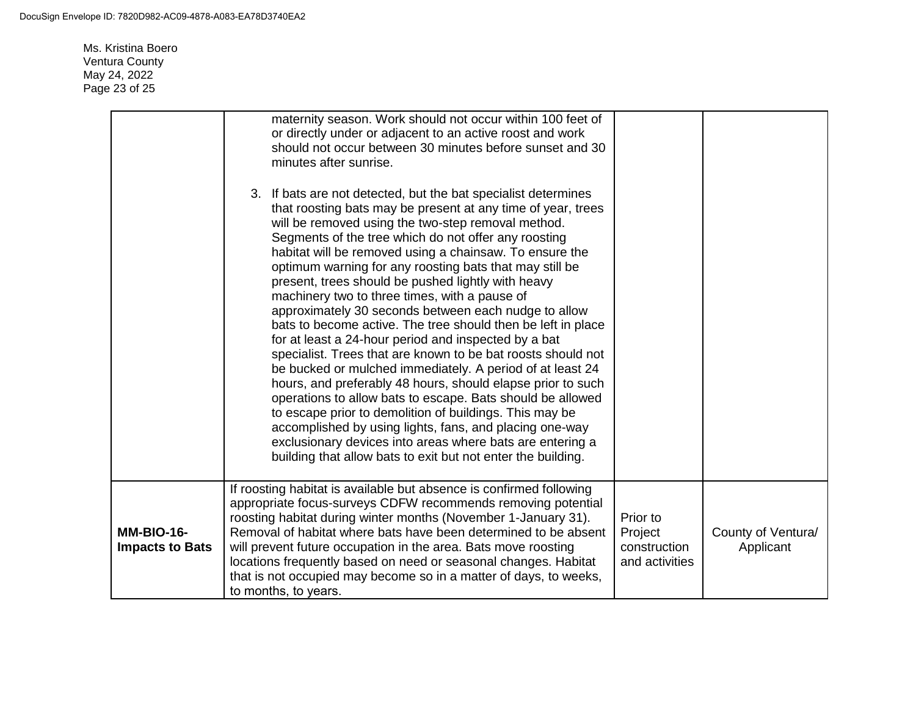Ms. Kristina Boero Ventura County May 24, 2022 Page 23 of 25

|                                             | maternity season. Work should not occur within 100 feet of<br>or directly under or adjacent to an active roost and work<br>should not occur between 30 minutes before sunset and 30<br>minutes after sunrise.<br>3. If bats are not detected, but the bat specialist determines<br>that roosting bats may be present at any time of year, trees<br>will be removed using the two-step removal method.<br>Segments of the tree which do not offer any roosting<br>habitat will be removed using a chainsaw. To ensure the<br>optimum warning for any roosting bats that may still be<br>present, trees should be pushed lightly with heavy<br>machinery two to three times, with a pause of<br>approximately 30 seconds between each nudge to allow<br>bats to become active. The tree should then be left in place<br>for at least a 24-hour period and inspected by a bat<br>specialist. Trees that are known to be bat roosts should not<br>be bucked or mulched immediately. A period of at least 24<br>hours, and preferably 48 hours, should elapse prior to such<br>operations to allow bats to escape. Bats should be allowed<br>to escape prior to demolition of buildings. This may be<br>accomplished by using lights, fans, and placing one-way |                                                       |                                 |
|---------------------------------------------|------------------------------------------------------------------------------------------------------------------------------------------------------------------------------------------------------------------------------------------------------------------------------------------------------------------------------------------------------------------------------------------------------------------------------------------------------------------------------------------------------------------------------------------------------------------------------------------------------------------------------------------------------------------------------------------------------------------------------------------------------------------------------------------------------------------------------------------------------------------------------------------------------------------------------------------------------------------------------------------------------------------------------------------------------------------------------------------------------------------------------------------------------------------------------------------------------------------------------------------------------------|-------------------------------------------------------|---------------------------------|
|                                             | exclusionary devices into areas where bats are entering a<br>building that allow bats to exit but not enter the building.                                                                                                                                                                                                                                                                                                                                                                                                                                                                                                                                                                                                                                                                                                                                                                                                                                                                                                                                                                                                                                                                                                                                  |                                                       |                                 |
| <b>MM-BIO-16-</b><br><b>Impacts to Bats</b> | If roosting habitat is available but absence is confirmed following<br>appropriate focus-surveys CDFW recommends removing potential<br>roosting habitat during winter months (November 1-January 31).<br>Removal of habitat where bats have been determined to be absent<br>will prevent future occupation in the area. Bats move roosting<br>locations frequently based on need or seasonal changes. Habitat<br>that is not occupied may become so in a matter of days, to weeks,<br>to months, to years.                                                                                                                                                                                                                                                                                                                                                                                                                                                                                                                                                                                                                                                                                                                                                 | Prior to<br>Project<br>construction<br>and activities | County of Ventura/<br>Applicant |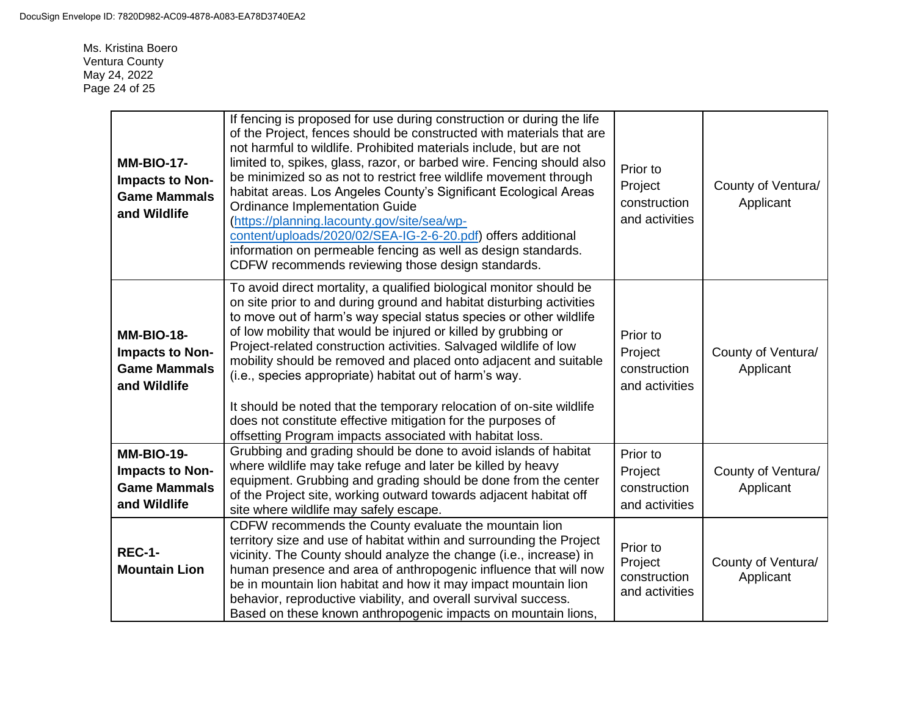Ms. Kristina Boero Ventura County May 24, 2022 Page 24 of 25

| <b>MM-BIO-17-</b><br>Impacts to Non-<br><b>Game Mammals</b><br>and Wildlife | If fencing is proposed for use during construction or during the life<br>of the Project, fences should be constructed with materials that are<br>not harmful to wildlife. Prohibited materials include, but are not<br>limited to, spikes, glass, razor, or barbed wire. Fencing should also<br>be minimized so as not to restrict free wildlife movement through<br>habitat areas. Los Angeles County's Significant Ecological Areas<br><b>Ordinance Implementation Guide</b><br>(https://planning.lacounty.gov/site/sea/wp-<br>content/uploads/2020/02/SEA-IG-2-6-20.pdf) offers additional<br>information on permeable fencing as well as design standards.<br>CDFW recommends reviewing those design standards. | Prior to<br>Project<br>construction<br>and activities | County of Ventura/<br>Applicant |
|-----------------------------------------------------------------------------|---------------------------------------------------------------------------------------------------------------------------------------------------------------------------------------------------------------------------------------------------------------------------------------------------------------------------------------------------------------------------------------------------------------------------------------------------------------------------------------------------------------------------------------------------------------------------------------------------------------------------------------------------------------------------------------------------------------------|-------------------------------------------------------|---------------------------------|
| <b>MM-BIO-18-</b><br>Impacts to Non-<br><b>Game Mammals</b><br>and Wildlife | To avoid direct mortality, a qualified biological monitor should be<br>on site prior to and during ground and habitat disturbing activities<br>to move out of harm's way special status species or other wildlife<br>of low mobility that would be injured or killed by grubbing or<br>Project-related construction activities. Salvaged wildlife of low<br>mobility should be removed and placed onto adjacent and suitable<br>(i.e., species appropriate) habitat out of harm's way.<br>It should be noted that the temporary relocation of on-site wildlife<br>does not constitute effective mitigation for the purposes of<br>offsetting Program impacts associated with habitat loss.                          | Prior to<br>Project<br>construction<br>and activities | County of Ventura/<br>Applicant |
| <b>MM-BIO-19-</b><br>Impacts to Non-<br><b>Game Mammals</b><br>and Wildlife | Grubbing and grading should be done to avoid islands of habitat<br>where wildlife may take refuge and later be killed by heavy<br>equipment. Grubbing and grading should be done from the center<br>of the Project site, working outward towards adjacent habitat off<br>site where wildlife may safely escape.                                                                                                                                                                                                                                                                                                                                                                                                     | Prior to<br>Project<br>construction<br>and activities | County of Ventura/<br>Applicant |
| <b>REC-1-</b><br><b>Mountain Lion</b>                                       | CDFW recommends the County evaluate the mountain lion<br>territory size and use of habitat within and surrounding the Project<br>vicinity. The County should analyze the change (i.e., increase) in<br>human presence and area of anthropogenic influence that will now<br>be in mountain lion habitat and how it may impact mountain lion<br>behavior, reproductive viability, and overall survival success.<br>Based on these known anthropogenic impacts on mountain lions,                                                                                                                                                                                                                                      | Prior to<br>Project<br>construction<br>and activities | County of Ventura/<br>Applicant |